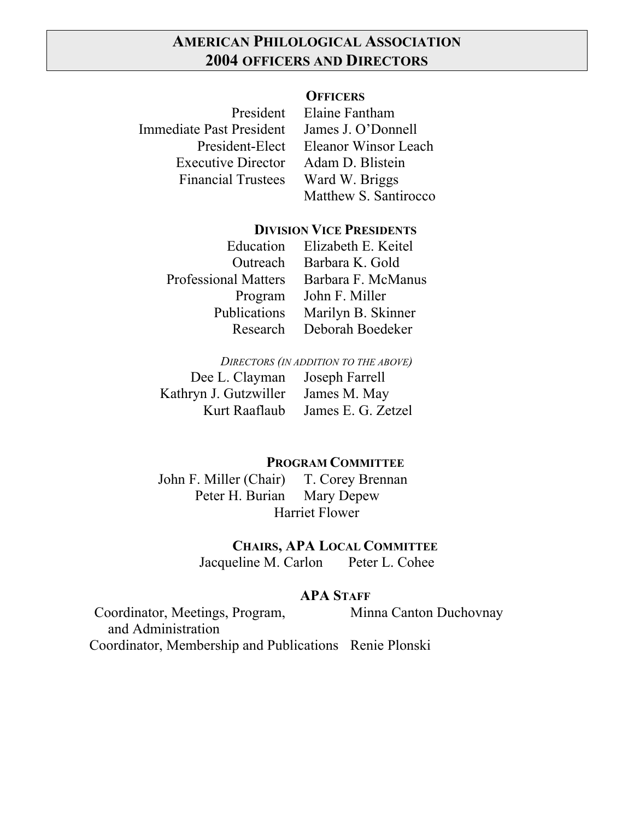## **AMERICAN PHILOLOGICAL ASSOCIATION 2004 OFFICERS AND DIRECTORS**

#### **OFFICERS**

Immediate Past President James J. O'Donnell Executive Director Adam D. Blistein Financial Trustees Ward W. Briggs

President Elaine Fantham President-Elect Eleanor Winsor Leach Matthew S. Santirocco

### **DIVISION VICE PRESIDENTS**

| Elizabeth E. Keitel |
|---------------------|
| Barbara K. Gold     |
| Barbara F. McManus  |
| John F. Miller      |
| Marilyn B. Skinner  |
| Deborah Boedeker    |
|                     |

*DIRECTORS (IN ADDITION TO THE ABOVE)* Dee L. Clayman Joseph Farrell Kathryn J. Gutzwiller James M. May Kurt Raaflaub James E. G. Zetzel

**PROGRAM COMMITTEE**

John F. Miller (Chair) T. Corey Brennan Peter H. Burian Mary Depew Harriet Flower

**CHAIRS, APA LOCAL COMMITTEE**

Jacqueline M. Carlon Peter L. Cohee

### **APA STAFF**

Coordinator, Meetings, Program, Minna Canton Duchovnay and Administration Coordinator, Membership and Publications Renie Plonski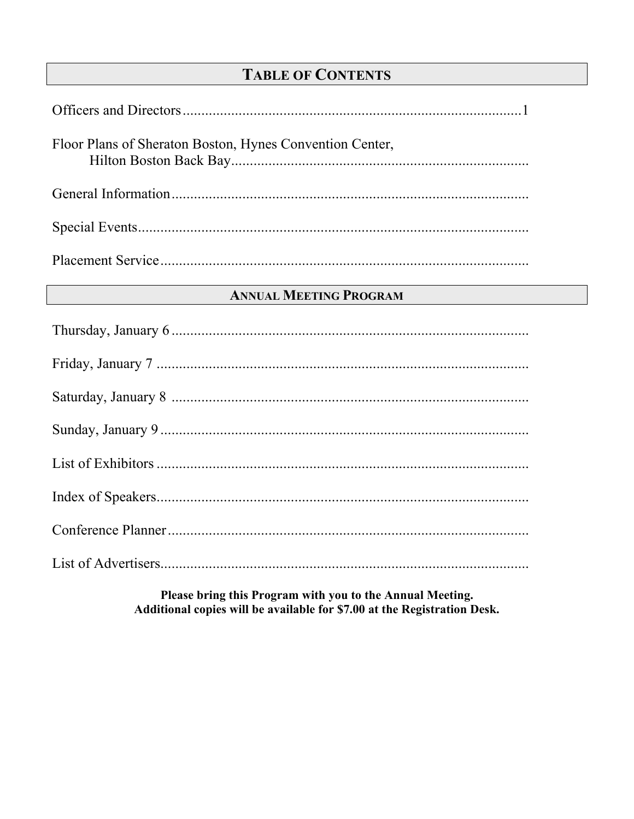## **TABLE OF CONTENTS**

| Floor Plans of Sheraton Boston, Hynes Convention Center, |
|----------------------------------------------------------|
|                                                          |
|                                                          |
|                                                          |

## **ANNUAL MEETING PROGRAM**

Please bring this Program with you to the Annual Meeting. Additional copies will be available for \$7.00 at the Registration Desk.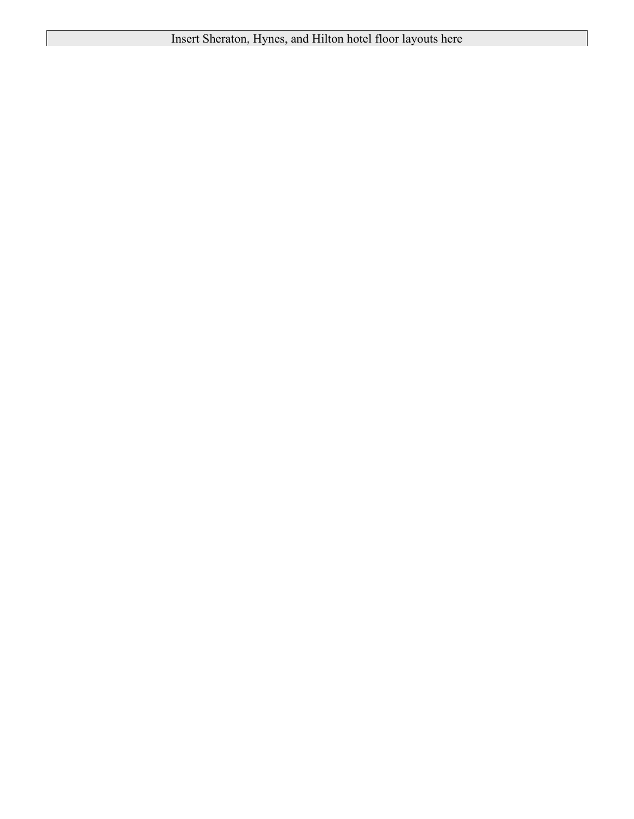Insert Sheraton, Hynes, and Hilton hotel floor layouts here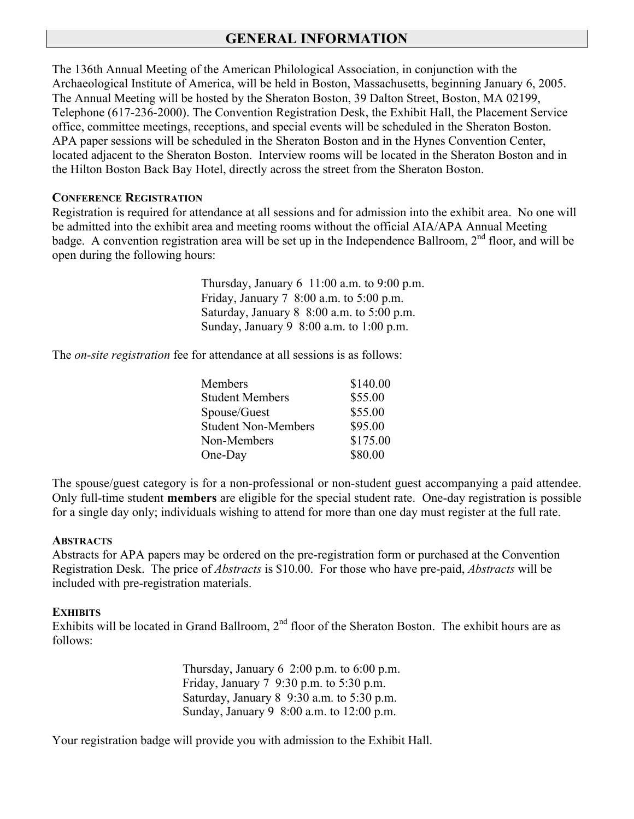## **GENERAL INFORMATION**

The 136th Annual Meeting of the American Philological Association, in conjunction with the Archaeological Institute of America, will be held in Boston, Massachusetts, beginning January 6, 2005. The Annual Meeting will be hosted by the Sheraton Boston, 39 Dalton Street, Boston, MA 02199, Telephone (617-236-2000). The Convention Registration Desk, the Exhibit Hall, the Placement Service office, committee meetings, receptions, and special events will be scheduled in the Sheraton Boston. APA paper sessions will be scheduled in the Sheraton Boston and in the Hynes Convention Center, located adjacent to the Sheraton Boston. Interview rooms will be located in the Sheraton Boston and in the Hilton Boston Back Bay Hotel, directly across the street from the Sheraton Boston.

#### **CONFERENCE REGISTRATION**

Registration is required for attendance at all sessions and for admission into the exhibit area. No one will be admitted into the exhibit area and meeting rooms without the official AIA/APA Annual Meeting badge. A convention registration area will be set up in the Independence Ballroom,  $2<sup>nd</sup>$  floor, and will be open during the following hours:

> Thursday, January 6 11:00 a.m. to 9:00 p.m. Friday, January 7 8:00 a.m. to 5:00 p.m. Saturday, January 8 8:00 a.m. to 5:00 p.m. Sunday, January 9 8:00 a.m. to 1:00 p.m.

The *on-site registration* fee for attendance at all sessions is as follows:

| \$55.00  |
|----------|
| \$55.00  |
| \$95.00  |
| \$175.00 |
| \$80.00  |
|          |

The spouse/guest category is for a non-professional or non-student guest accompanying a paid attendee. Only full-time student **members** are eligible for the special student rate. One-day registration is possible for a single day only; individuals wishing to attend for more than one day must register at the full rate.

#### **ABSTRACTS**

Abstracts for APA papers may be ordered on the pre-registration form or purchased at the Convention Registration Desk. The price of *Abstracts* is \$10.00. For those who have pre-paid, *Abstracts* will be included with pre-registration materials.

#### **EXHIBITS**

Exhibits will be located in Grand Ballroom,  $2<sup>nd</sup>$  floor of the Sheraton Boston. The exhibit hours are as follows:

> Thursday, January  $6\,2:00$  p.m. to  $6:00$  p.m. Friday, January 7 9:30 p.m. to 5:30 p.m. Saturday, January 8 9:30 a.m. to 5:30 p.m. Sunday, January 9 8:00 a.m. to 12:00 p.m.

Your registration badge will provide you with admission to the Exhibit Hall.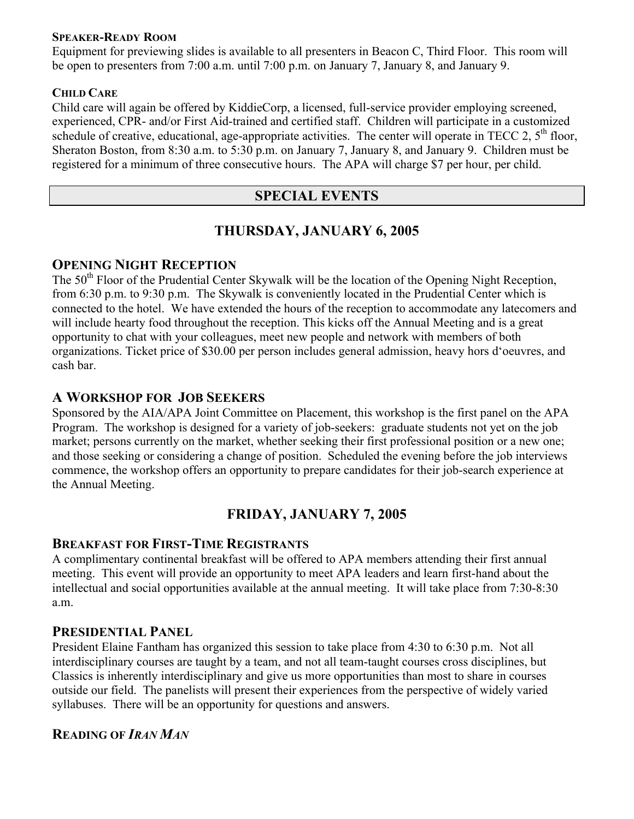#### **SPEAKER-READY ROOM**

Equipment for previewing slides is available to all presenters in Beacon C, Third Floor. This room will be open to presenters from 7:00 a.m. until 7:00 p.m. on January 7, January 8, and January 9.

#### **CHILD CARE**

Child care will again be offered by KiddieCorp, a licensed, full-service provider employing screened, experienced, CPR- and/or First Aid-trained and certified staff. Children will participate in a customized schedule of creative, educational, age-appropriate activities. The center will operate in TECC 2,  $5<sup>th</sup>$  floor, Sheraton Boston, from 8:30 a.m. to 5:30 p.m. on January 7, January 8, and January 9. Children must be registered for a minimum of three consecutive hours. The APA will charge \$7 per hour, per child.

### **SPECIAL EVENTS**

### **THURSDAY, JANUARY 6, 2005**

#### **OPENING NIGHT RECEPTION**

The 50<sup>th</sup> Floor of the Prudential Center Skywalk will be the location of the Opening Night Reception, from 6:30 p.m. to 9:30 p.m. The Skywalk is conveniently located in the Prudential Center which is connected to the hotel. We have extended the hours of the reception to accommodate any latecomers and will include hearty food throughout the reception. This kicks off the Annual Meeting and is a great opportunity to chat with your colleagues, meet new people and network with members of both organizations. Ticket price of \$30.00 per person includes general admission, heavy hors d'oeuvres, and cash bar.

#### **A WORKSHOP FOR JOB SEEKERS**

Sponsored by the AIA/APA Joint Committee on Placement, this workshop is the first panel on the APA Program. The workshop is designed for a variety of job-seekers: graduate students not yet on the job market; persons currently on the market, whether seeking their first professional position or a new one; and those seeking or considering a change of position. Scheduled the evening before the job interviews commence, the workshop offers an opportunity to prepare candidates for their job-search experience at the Annual Meeting.

## **FRIDAY, JANUARY 7, 2005**

#### **BREAKFAST FOR FIRST-TIME REGISTRANTS**

A complimentary continental breakfast will be offered to APA members attending their first annual meeting. This event will provide an opportunity to meet APA leaders and learn first-hand about the intellectual and social opportunities available at the annual meeting. It will take place from 7:30-8:30 a.m.

#### **PRESIDENTIAL PANEL**

President Elaine Fantham has organized this session to take place from 4:30 to 6:30 p.m. Not all interdisciplinary courses are taught by a team, and not all team-taught courses cross disciplines, but Classics is inherently interdisciplinary and give us more opportunities than most to share in courses outside our field. The panelists will present their experiences from the perspective of widely varied syllabuses. There will be an opportunity for questions and answers.

### **READING OF** *IRAN MAN*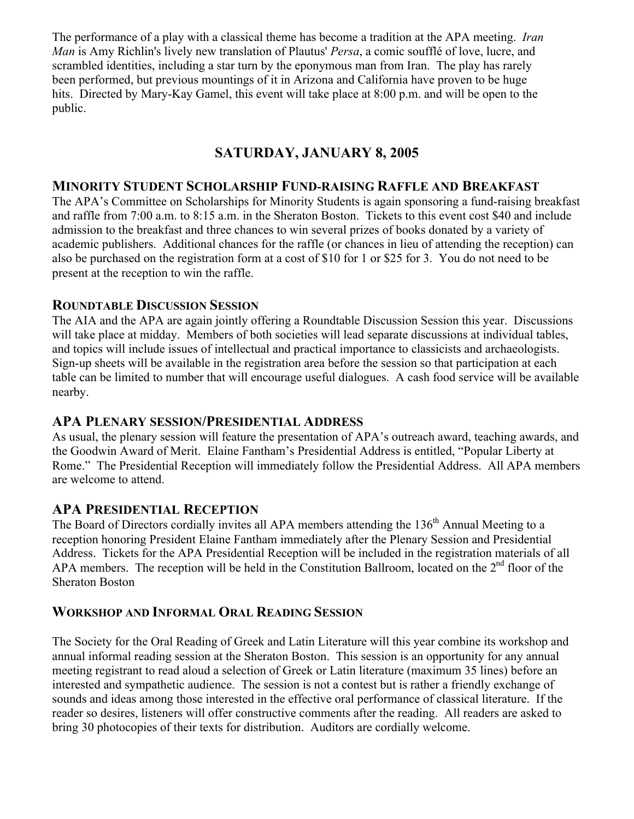The performance of a play with a classical theme has become a tradition at the APA meeting. *Iran Man* is Amy Richlin's lively new translation of Plautus' *Persa*, a comic soufflé of love, lucre, and scrambled identities, including a star turn by the eponymous man from Iran. The play has rarely been performed, but previous mountings of it in Arizona and California have proven to be huge hits. Directed by Mary-Kay Gamel, this event will take place at 8:00 p.m. and will be open to the public.

## **SATURDAY, JANUARY 8, 2005**

#### **MINORITY STUDENT SCHOLARSHIP FUND-RAISING RAFFLE AND BREAKFAST**

The APA's Committee on Scholarships for Minority Students is again sponsoring a fund-raising breakfast and raffle from 7:00 a.m. to 8:15 a.m. in the Sheraton Boston. Tickets to this event cost \$40 and include admission to the breakfast and three chances to win several prizes of books donated by a variety of academic publishers. Additional chances for the raffle (or chances in lieu of attending the reception) can also be purchased on the registration form at a cost of \$10 for 1 or \$25 for 3. You do not need to be present at the reception to win the raffle.

#### **ROUNDTABLE DISCUSSION SESSION**

The AIA and the APA are again jointly offering a Roundtable Discussion Session this year. Discussions will take place at midday. Members of both societies will lead separate discussions at individual tables, and topics will include issues of intellectual and practical importance to classicists and archaeologists. Sign-up sheets will be available in the registration area before the session so that participation at each table can be limited to number that will encourage useful dialogues. A cash food service will be available nearby.

### **APA PLENARY SESSION/PRESIDENTIAL ADDRESS**

As usual, the plenary session will feature the presentation of APA's outreach award, teaching awards, and the Goodwin Award of Merit. Elaine Fantham's Presidential Address is entitled, "Popular Liberty at Rome." The Presidential Reception will immediately follow the Presidential Address. All APA members are welcome to attend.

### **APA PRESIDENTIAL RECEPTION**

The Board of Directors cordially invites all APA members attending the  $136<sup>th</sup>$  Annual Meeting to a reception honoring President Elaine Fantham immediately after the Plenary Session and Presidential Address. Tickets for the APA Presidential Reception will be included in the registration materials of all APA members. The reception will be held in the Constitution Ballroom, located on the  $2<sup>nd</sup>$  floor of the Sheraton Boston

### **WORKSHOP AND INFORMAL ORAL READING SESSION**

The Society for the Oral Reading of Greek and Latin Literature will this year combine its workshop and annual informal reading session at the Sheraton Boston. This session is an opportunity for any annual meeting registrant to read aloud a selection of Greek or Latin literature (maximum 35 lines) before an interested and sympathetic audience. The session is not a contest but is rather a friendly exchange of sounds and ideas among those interested in the effective oral performance of classical literature. If the reader so desires, listeners will offer constructive comments after the reading. All readers are asked to bring 30 photocopies of their texts for distribution. Auditors are cordially welcome.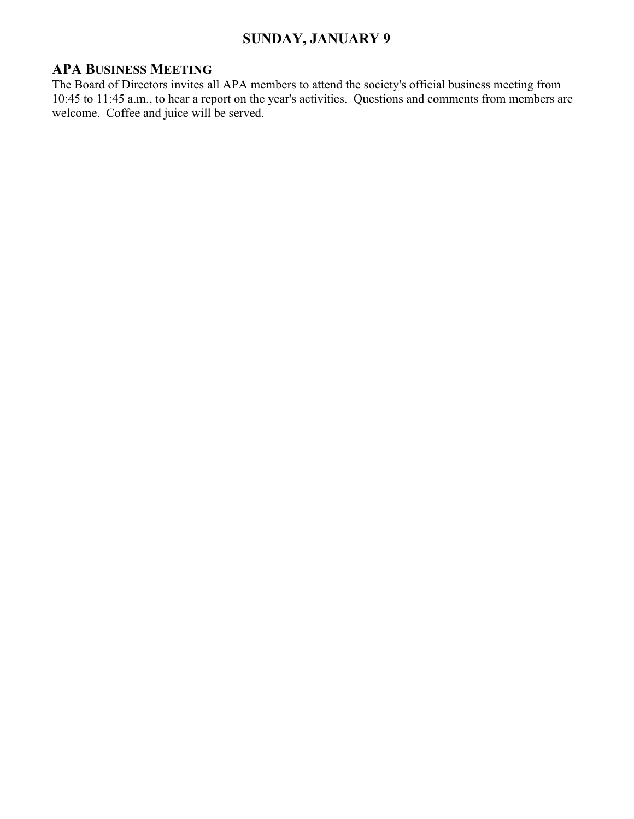## **SUNDAY, JANUARY 9**

## **APA BUSINESS MEETING**

The Board of Directors invites all APA members to attend the society's official business meeting from 10:45 to 11:45 a.m., to hear a report on the year's activities. Questions and comments from members are welcome. Coffee and juice will be served.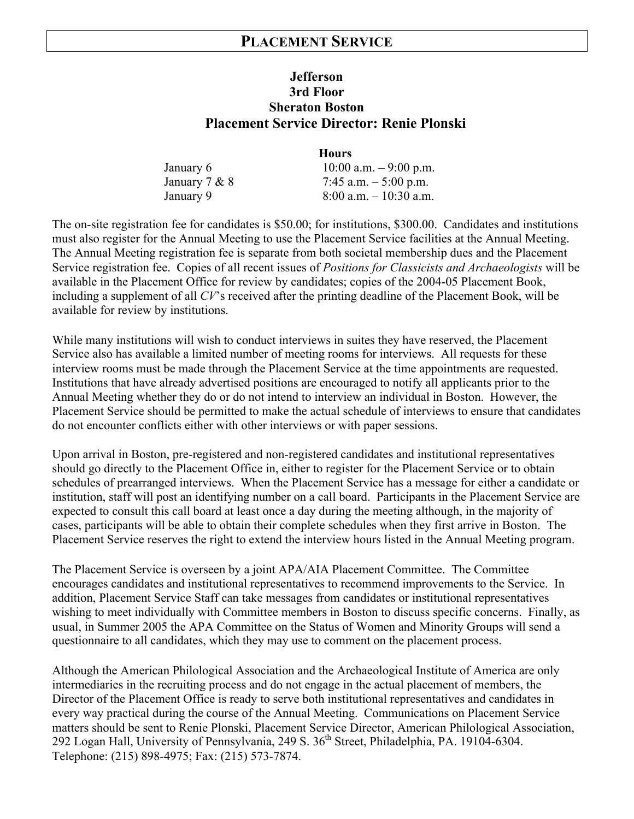## **PLACEMENT SERVICE**

### **Jefferson 3rd Floor Sheraton Boston Placement Service Director: Renie Plonski**

|                 | <b>Hours</b>              |
|-----------------|---------------------------|
| January 6       | 10:00 a.m. $-9:00$ p.m.   |
| January $7 & 8$ | 7:45 a.m. $-5:00$ p.m.    |
| January 9       | $8:00$ a.m. $-10:30$ a.m. |

The on-site registration fee for candidates is \$50.00; for institutions, \$300.00. Candidates and institutions must also register for the Annual Meeting to use the Placement Service facilities at the Annual Meeting. The Annual Meeting registration fee is separate from both societal membership dues and the Placement Service registration fee. Copies of all recent issues of *Positions for Classicists and Archaeologists* will be available in the Placement Office for review by candidates; copies of the 2004-05 Placement Book, including a supplement of all *CV*'s received after the printing deadline of the Placement Book, will be available for review by institutions.

While many institutions will wish to conduct interviews in suites they have reserved, the Placement Service also has available a limited number of meeting rooms for interviews. All requests for these interview rooms must be made through the Placement Service at the time appointments are requested. Institutions that have already advertised positions are encouraged to notify all applicants prior to the Annual Meeting whether they do or do not intend to interview an individual in Boston. However, the Placement Service should be permitted to make the actual schedule of interviews to ensure that candidates do not encounter conflicts either with other interviews or with paper sessions.

Upon arrival in Boston, pre-registered and non-registered candidates and institutional representatives should go directly to the Placement Office in, either to register for the Placement Service or to obtain schedules of prearranged interviews. When the Placement Service has a message for either a candidate or institution, staff will post an identifying number on a call board. Participants in the Placement Service are expected to consult this call board at least once a day during the meeting although, in the majority of cases, participants will be able to obtain their complete schedules when they first arrive in Boston. The Placement Service reserves the right to extend the interview hours listed in the Annual Meeting program.

The Placement Service is overseen by a joint APA/AIA Placement Committee. The Committee encourages candidates and institutional representatives to recommend improvements to the Service. In addition, Placement Service Staff can take messages from candidates or institutional representatives wishing to meet individually with Committee members in Boston to discuss specific concerns. Finally, as usual, in Summer 2005 the APA Committee on the Status of Women and Minority Groups will send a questionnaire to all candidates, which they may use to comment on the placement process.

Although the American Philological Association and the Archaeological Institute of America are only intermediaries in the recruiting process and do not engage in the actual placement of members, the Director of the Placement Office is ready to serve both institutional representatives and candidates in every way practical during the course of the Annual Meeting. Communications on Placement Service matters should be sent to Renie Plonski, Placement Service Director, American Philological Association, 292 Logan Hall, University of Pennsylvania, 249 S. 36<sup>th</sup> Street, Philadelphia, PA. 19104-6304. Telephone: (215) 898-4975; Fax: (215) 573-7874.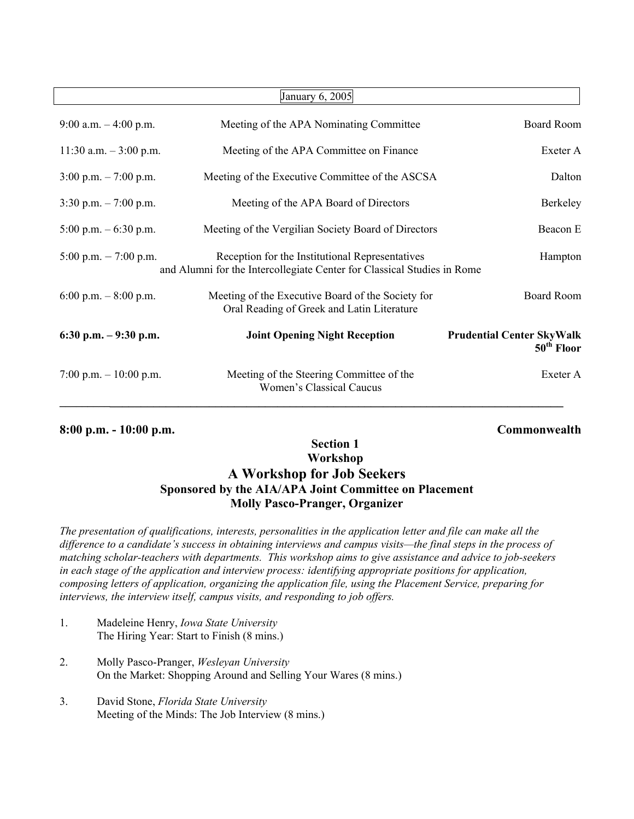| January 6, 2005                         |                                                                                                                            |                                                  |
|-----------------------------------------|----------------------------------------------------------------------------------------------------------------------------|--------------------------------------------------|
| 9:00 a.m. $-4:00$ p.m.                  | Meeting of the APA Nominating Committee                                                                                    | <b>Board Room</b>                                |
| 11:30 a.m. $-3:00$ p.m.                 | Meeting of the APA Committee on Finance                                                                                    | Exeter A                                         |
| $3:00 \text{ p.m.} - 7:00 \text{ p.m.}$ | Meeting of the Executive Committee of the ASCSA                                                                            | Dalton                                           |
| $3:30$ p.m. $-7:00$ p.m.                | Meeting of the APA Board of Directors                                                                                      | Berkeley                                         |
| 5:00 p.m. $-6:30$ p.m.                  | Meeting of the Vergilian Society Board of Directors                                                                        | Beacon E                                         |
| 5:00 p.m. $- 7:00$ p.m.                 | Reception for the Institutional Representatives<br>and Alumni for the Intercollegiate Center for Classical Studies in Rome | Hampton                                          |
| 6:00 p.m. $-8:00$ p.m.                  | Meeting of the Executive Board of the Society for<br>Oral Reading of Greek and Latin Literature                            | <b>Board Room</b>                                |
| 6:30 p.m. $-9:30$ p.m.                  | <b>Joint Opening Night Reception</b>                                                                                       | <b>Prudential Center SkyWalk</b><br>$50th$ Floor |
| 7:00 p.m. $-10:00$ p.m.                 | Meeting of the Steering Committee of the<br>Women's Classical Caucus                                                       | Exeter A                                         |

#### **8:00 p.m. - 10:00 p.m. Commonwealth**

### **Section 1 Workshop A Workshop for Job Seekers Sponsored by the AIA/APA Joint Committee on Placement Molly Pasco-Pranger, Organizer**

*The presentation of qualifications, interests, personalities in the application letter and file can make all the difference to a candidate's success in obtaining interviews and campus visits—the final steps in the process of matching scholar-teachers with departments. This workshop aims to give assistance and advice to job-seekers in each stage of the application and interview process: identifying appropriate positions for application, composing letters of application, organizing the application file, using the Placement Service, preparing for interviews, the interview itself, campus visits, and responding to job offers.*

- 1. Madeleine Henry, *Iowa State University* The Hiring Year: Start to Finish (8 mins.)
- 2. Molly Pasco-Pranger, *Wesleyan University* On the Market: Shopping Around and Selling Your Wares (8 mins.)
- 3. David Stone, *Florida State University* Meeting of the Minds: The Job Interview (8 mins.)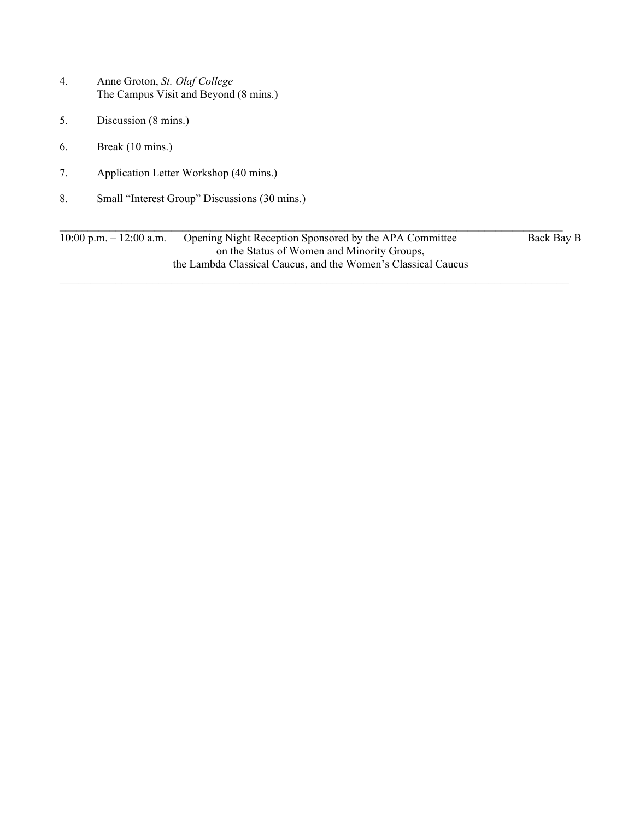- 4. Anne Groton, *St. Olaf College* The Campus Visit and Beyond (8 mins.)
- 5. Discussion (8 mins.)
- 6. Break (10 mins.)
- 7. Application Letter Workshop (40 mins.)
- 8. Small "Interest Group" Discussions (30 mins.)

 $\mathcal{L}_\mathcal{L} = \mathcal{L}_\mathcal{L} = \mathcal{L}_\mathcal{L} = \mathcal{L}_\mathcal{L} = \mathcal{L}_\mathcal{L} = \mathcal{L}_\mathcal{L} = \mathcal{L}_\mathcal{L} = \mathcal{L}_\mathcal{L} = \mathcal{L}_\mathcal{L} = \mathcal{L}_\mathcal{L} = \mathcal{L}_\mathcal{L} = \mathcal{L}_\mathcal{L} = \mathcal{L}_\mathcal{L} = \mathcal{L}_\mathcal{L} = \mathcal{L}_\mathcal{L} = \mathcal{L}_\mathcal{L} = \mathcal{L}_\mathcal{L}$ 10:00 p.m. – 12:00 a.m. Opening Night Reception Sponsored by the APA Committee Back Bay B on the Status of Women and Minority Groups, the Lambda Classical Caucus, and the Women's Classical Caucus  $\mathcal{L}_\mathcal{L} = \{ \mathcal{L}_\mathcal{L} = \{ \mathcal{L}_\mathcal{L} = \{ \mathcal{L}_\mathcal{L} = \{ \mathcal{L}_\mathcal{L} = \{ \mathcal{L}_\mathcal{L} = \{ \mathcal{L}_\mathcal{L} = \{ \mathcal{L}_\mathcal{L} = \{ \mathcal{L}_\mathcal{L} = \{ \mathcal{L}_\mathcal{L} = \{ \mathcal{L}_\mathcal{L} = \{ \mathcal{L}_\mathcal{L} = \{ \mathcal{L}_\mathcal{L} = \{ \mathcal{L}_\mathcal{L} = \{ \mathcal{L}_\mathcal{$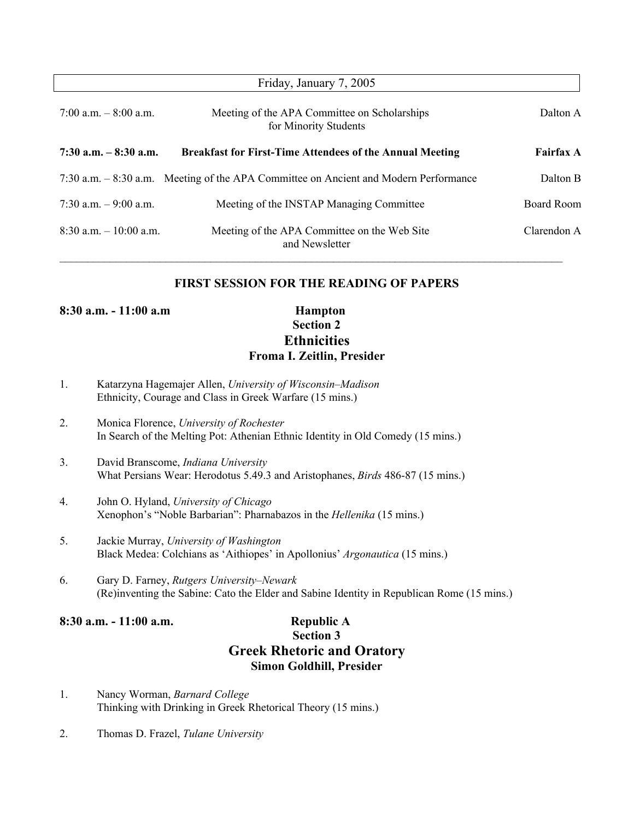| Friday, January 7, 2005   |                                                                                      |                  |
|---------------------------|--------------------------------------------------------------------------------------|------------------|
| 7:00 a.m. $-8:00$ a.m.    | Meeting of the APA Committee on Scholarships<br>for Minority Students                | Dalton A         |
| $7:30$ a.m. $-8:30$ a.m.  | <b>Breakfast for First-Time Attendees of the Annual Meeting</b>                      | <b>Fairfax A</b> |
|                           | 7:30 a.m. – 8:30 a.m. Meeting of the APA Committee on Ancient and Modern Performance | Dalton B         |
| $7:30$ a.m. $-9:00$ a.m.  | Meeting of the INSTAP Managing Committee                                             | Board Room       |
| $8:30$ a.m. $-10:00$ a.m. | Meeting of the APA Committee on the Web Site<br>and Newsletter                       | Clarendon A      |

#### **FIRST SESSION FOR THE READING OF PAPERS**

**8:30 a.m. - 11:00 a.m Hampton**

**Section 2 Ethnicities Froma I. Zeitlin, Presider**

- 1. Katarzyna Hagemajer Allen, *University of Wisconsin–Madison* Ethnicity, Courage and Class in Greek Warfare (15 mins.)
- 2. Monica Florence, *University of Rochester* In Search of the Melting Pot: Athenian Ethnic Identity in Old Comedy (15 mins.)
- 3. David Branscome, *Indiana University* What Persians Wear: Herodotus 5.49.3 and Aristophanes, *Birds* 486-87 (15 mins.)
- 4. John O. Hyland, *University of Chicago* Xenophon's "Noble Barbarian": Pharnabazos in the *Hellenika* (15 mins.)
- 5. Jackie Murray, *University of Washington* Black Medea: Colchians as 'Aithiopes' in Apollonius' *Argonautica* (15 mins.)
- 6. Gary D. Farney, *Rutgers University–Newark* (Re)inventing the Sabine: Cato the Elder and Sabine Identity in Republican Rome (15 mins.)

**8:30 a.m. - 11:00 a.m. Republic A**

## **Section 3 Greek Rhetoric and Oratory Simon Goldhill, Presider**

- 1. Nancy Worman, *Barnard College* Thinking with Drinking in Greek Rhetorical Theory (15 mins.)
- 2. Thomas D. Frazel, *Tulane University*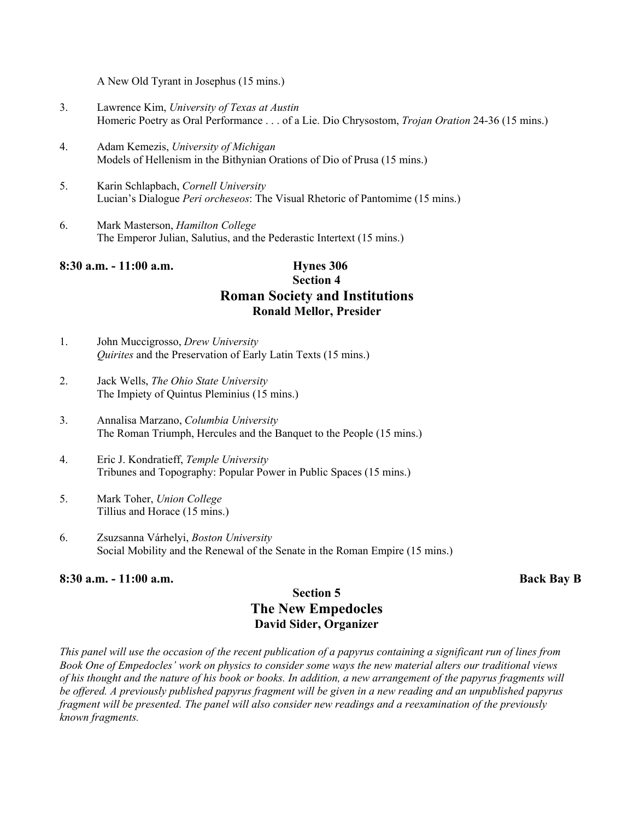A New Old Tyrant in Josephus (15 mins.)

- 3. Lawrence Kim, *University of Texas at Austin* Homeric Poetry as Oral Performance . . . of a Lie. Dio Chrysostom, *Trojan Oration* 24-36 (15 mins.)
- 4. Adam Kemezis, *University of Michigan* Models of Hellenism in the Bithynian Orations of Dio of Prusa (15 mins.)
- 5. Karin Schlapbach, *Cornell University* Lucian's Dialogue *Peri orcheseos*: The Visual Rhetoric of Pantomime (15 mins.)
- 6. Mark Masterson, *Hamilton College* The Emperor Julian, Salutius, and the Pederastic Intertext (15 mins.)

#### **8:30 a.m. - 11:00 a.m. Hynes 306**

## **Section 4 Roman Society and Institutions Ronald Mellor, Presider**

- 1. John Muccigrosso, *Drew University Quirites* and the Preservation of Early Latin Texts (15 mins.)
- 2. Jack Wells, *The Ohio State University* The Impiety of Quintus Pleminius (15 mins.)
- 3. Annalisa Marzano, *Columbia University* The Roman Triumph, Hercules and the Banquet to the People (15 mins.)
- 4. Eric J. Kondratieff, *Temple University* Tribunes and Topography: Popular Power in Public Spaces (15 mins.)
- 5. Mark Toher, *Union College* Tillius and Horace (15 mins.)
- 6. Zsuzsanna Várhelyi, *Boston University* Social Mobility and the Renewal of the Senate in the Roman Empire (15 mins.)

#### **8:30 a.m. - 11:00 a.m. Back Bay B**

#### **Section 5 The New Empedocles David Sider, Organizer**

*This panel will use the occasion of the recent publication of a papyrus containing a significant run of lines from Book One of Empedocles' work on physics to consider some ways the new material alters our traditional views of his thought and the nature of his book or books. In addition, a new arrangement of the papyrus fragments will be offered. A previously published papyrus fragment will be given in a new reading and an unpublished papyrus fragment will be presented. The panel will also consider new readings and a reexamination of the previously known fragments.*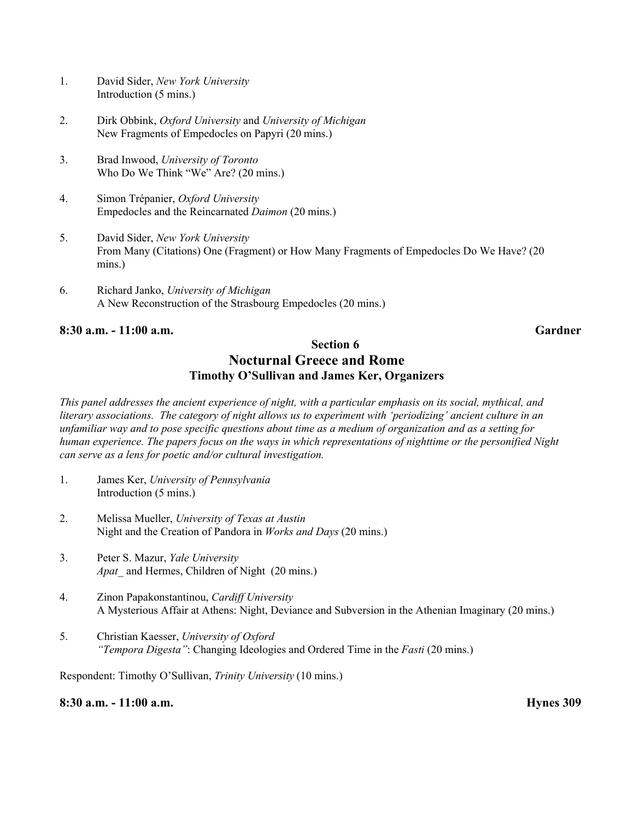- 1. David Sider, *New York University* Introduction (5 mins.)
- 2. Dirk Obbink, *Oxford University* and *University of Michigan* New Fragments of Empedocles on Papyri (20 mins.)
- 3. Brad Inwood, *University of Toronto* Who Do We Think "We" Are? (20 mins.)
- 4. Simon Trépanier, *Oxford University* Empedocles and the Reincarnated *Daimon* (20 mins.)
- 5. David Sider, *New York University* From Many (Citations) One (Fragment) or How Many Fragments of Empedocles Do We Have? (20 mins.)
- 6. Richard Janko, *University of Michigan* A New Reconstruction of the Strasbourg Empedocles (20 mins.)

#### **8:30 a.m. - 11:00 a.m. Gardner**

#### **Section 6 Nocturnal Greece and Rome Timothy O'Sullivan and James Ker, Organizers**

*This panel addresses the ancient experience of night, with a particular emphasis on its social, mythical, and literary associations. The category of night allows us to experiment with 'periodizing' ancient culture in an unfamiliar way and to pose specific questions about time as a medium of organization and as a setting for human experience. The papers focus on the ways in which representations of nighttime or the personified Night can serve as a lens for poetic and/or cultural investigation.*

- 1. James Ker, *University of Pennsylvania* Introduction (5 mins.)
- 2. Melissa Mueller, *University of Texas at Austin* Night and the Creation of Pandora in *Works and Days* (20 mins.)
- 3. Peter S. Mazur, *Yale University Apat\_* and Hermes, Children of Night (20 mins.)
- 4. Zinon Papakonstantinou, *Cardiff University* A Mysterious Affair at Athens: Night, Deviance and Subversion in the Athenian Imaginary (20 mins.)
- 5. Christian Kaesser, *University of Oxford "Tempora Digesta"*: Changing Ideologies and Ordered Time in the *Fasti* (20 mins.)

Respondent: Timothy O'Sullivan, *Trinity University* (10 mins.)

**8:30 a.m. - 11:00 a.m. Hynes 309**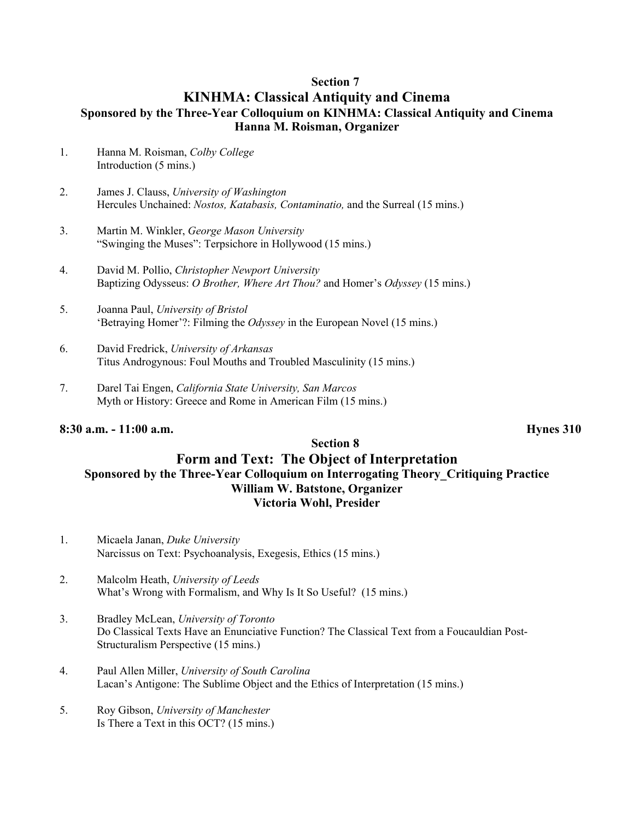#### **Section 7**

#### **KINHMA: Classical Antiquity and Cinema Sponsored by the Three-Year Colloquium on KINHMA: Classical Antiquity and Cinema Hanna M. Roisman, Organizer**

- 1. Hanna M. Roisman, *Colby College* Introduction (5 mins.)
- 2. James J. Clauss, *University of Washington* Hercules Unchained: *Nostos, Katabasis, Contaminatio,* and the Surreal (15 mins.)
- 3. Martin M. Winkler, *George Mason University* "Swinging the Muses": Terpsichore in Hollywood (15 mins.)
- 4. David M. Pollio, *Christopher Newport University* Baptizing Odysseus: *O Brother, Where Art Thou?* and Homer's *Odyssey* (15 mins.)
- 5. Joanna Paul, *University of Bristol* 'Betraying Homer'?: Filming the *Odyssey* in the European Novel (15 mins.)
- 6. David Fredrick, *University of Arkansas* Titus Androgynous: Foul Mouths and Troubled Masculinity (15 mins.)
- 7. Darel Tai Engen, *California State University, San Marcos* Myth or History: Greece and Rome in American Film (15 mins.)

#### **8:30 a.m. - 11:00 a.m. Hynes 310**

#### **Section 8 Form and Text: The Object of Interpretation Sponsored by the Three-Year Colloquium on Interrogating Theory\_Critiquing Practice William W. Batstone, Organizer Victoria Wohl, Presider**

- 1. Micaela Janan, *Duke University* Narcissus on Text: Psychoanalysis, Exegesis, Ethics (15 mins.)
- 2. Malcolm Heath, *University of Leeds* What's Wrong with Formalism, and Why Is It So Useful? (15 mins.)
- 3. Bradley McLean, *University of Toronto* Do Classical Texts Have an Enunciative Function? The Classical Text from a Foucauldian Post-Structuralism Perspective (15 mins.)
- 4. Paul Allen Miller, *University of South Carolina* Lacan's Antigone: The Sublime Object and the Ethics of Interpretation (15 mins.)
- 5. Roy Gibson, *University of Manchester* Is There a Text in this OCT? (15 mins.)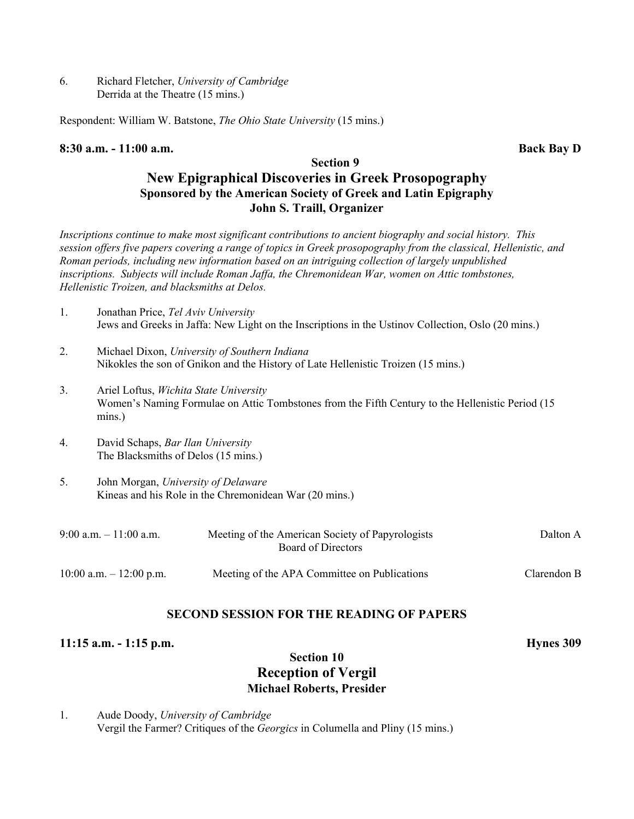6. Richard Fletcher, *University of Cambridge* Derrida at the Theatre (15 mins.)

Respondent: William W. Batstone, *The Ohio State University* (15 mins.)

#### **8:30 a.m. - 11:00 a.m. Back Bay D**

#### **Section 9 New Epigraphical Discoveries in Greek Prosopography Sponsored by the American Society of Greek and Latin Epigraphy John S. Traill, Organizer**

*Inscriptions continue to make most significant contributions to ancient biography and social history. This session offers five papers covering a range of topics in Greek prosopography from the classical, Hellenistic, and Roman periods, including new information based on an intriguing collection of largely unpublished inscriptions. Subjects will include Roman Jaffa, the Chremonidean War, women on Attic tombstones, Hellenistic Troizen, and blacksmiths at Delos.*

- 1. Jonathan Price, *Tel Aviv University* Jews and Greeks in Jaffa: New Light on the Inscriptions in the Ustinov Collection, Oslo (20 mins.)
- 2. Michael Dixon, *University of Southern Indiana* Nikokles the son of Gnikon and the History of Late Hellenistic Troizen (15 mins.)
- 3. Ariel Loftus, *Wichita State University* Women's Naming Formulae on Attic Tombstones from the Fifth Century to the Hellenistic Period (15 mins.)
- 4. David Schaps, *Bar Ilan University* The Blacksmiths of Delos (15 mins.)
- 5. John Morgan, *University of Delaware* Kineas and his Role in the Chremonidean War (20 mins.)

| $9:00$ a.m. $-11:00$ a.m.  | Meeting of the American Society of Papyrologists<br>Board of Directors | Dalton A    |
|----------------------------|------------------------------------------------------------------------|-------------|
| $10:00$ a.m. $-12:00$ p.m. | Meeting of the APA Committee on Publications                           | Clarendon B |

#### **SECOND SESSION FOR THE READING OF PAPERS**

#### **11:15 a.m. - 1:15 p.m. Hynes 309**

#### **Section 10 Reception of Vergil Michael Roberts, Presider**

1. Aude Doody, *University of Cambridge* Vergil the Farmer? Critiques of the *Georgics* in Columella and Pliny (15 mins.)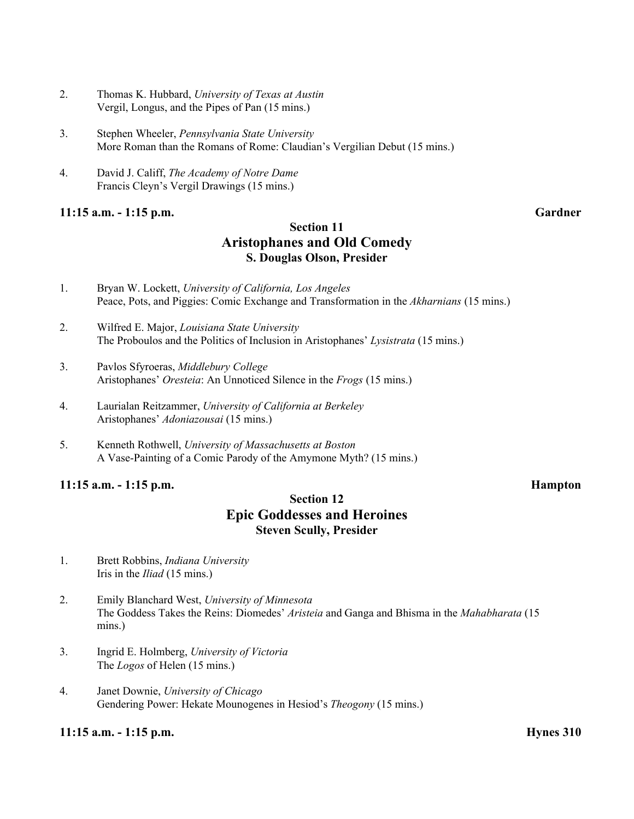- 2. Thomas K. Hubbard, *University of Texas at Austin* Vergil, Longus, and the Pipes of Pan (15 mins.)
- 3. Stephen Wheeler, *Pennsylvania State University* More Roman than the Romans of Rome: Claudian's Vergilian Debut (15 mins.)
- 4. David J. Califf, *The Academy of Notre Dame* Francis Cleyn's Vergil Drawings (15 mins.)

#### **11:15 a.m. - 1:15 p.m. Gardner**

#### **Section 11 Aristophanes and Old Comedy S. Douglas Olson, Presider**

- 1. Bryan W. Lockett, *University of California, Los Angeles* Peace, Pots, and Piggies: Comic Exchange and Transformation in the *Akharnians* (15 mins.)
- 2. Wilfred E. Major, *Louisiana State University* The Proboulos and the Politics of Inclusion in Aristophanes' *Lysistrata* (15 mins.)
- 3. Pavlos Sfyroeras, *Middlebury College* Aristophanes' *Oresteia*: An Unnoticed Silence in the *Frogs* (15 mins.)
- 4. Laurialan Reitzammer, *University of California at Berkeley* Aristophanes' *Adoniazousai* (15 mins.)
- 5. Kenneth Rothwell, *University of Massachusetts at Boston* A Vase-Painting of a Comic Parody of the Amymone Myth? (15 mins.)

#### **11:15 a.m. - 1:15 p.m. Hampton**

#### **Section 12 Epic Goddesses and Heroines Steven Scully, Presider**

- 1. Brett Robbins, *Indiana University* Iris in the *Iliad* (15 mins.)
- 2. Emily Blanchard West, *University of Minnesota* The Goddess Takes the Reins: Diomedes' *Aristeia* and Ganga and Bhisma in the *Mahabharata* (15 mins.)
- 3. Ingrid E. Holmberg, *University of Victoria* The *Logos* of Helen (15 mins.)
- 4. Janet Downie, *University of Chicago* Gendering Power: Hekate Mounogenes in Hesiod's *Theogony* (15 mins.)

#### **11:15 a.m. - 1:15 p.m. Hynes 310**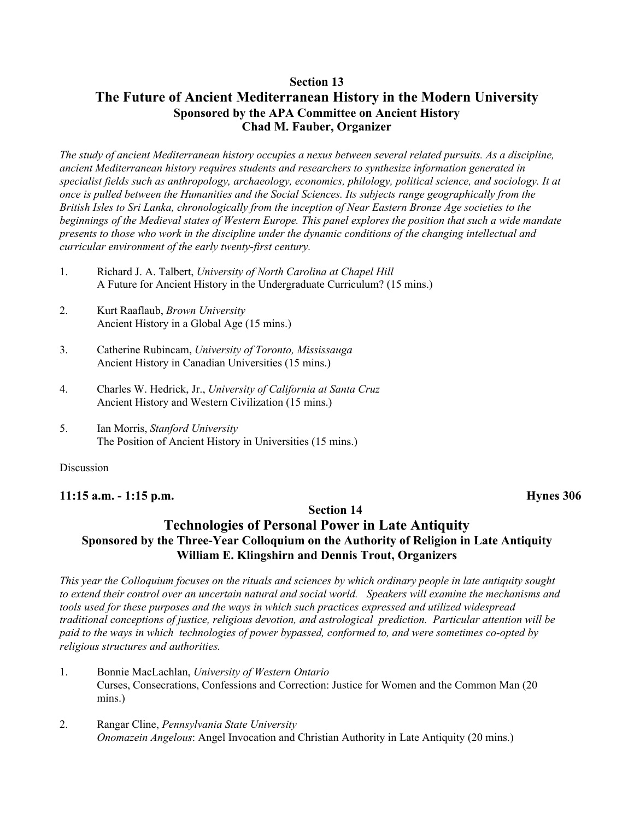#### **Section 13 The Future of Ancient Mediterranean History in the Modern University Sponsored by the APA Committee on Ancient History Chad M. Fauber, Organizer**

*The study of ancient Mediterranean history occupies a nexus between several related pursuits. As a discipline, ancient Mediterranean history requires students and researchers to synthesize information generated in specialist fields such as anthropology, archaeology, economics, philology, political science, and sociology. It at once is pulled between the Humanities and the Social Sciences. Its subjects range geographically from the British Isles to Sri Lanka, chronologically from the inception of Near Eastern Bronze Age societies to the beginnings of the Medieval states of Western Europe. This panel explores the position that such a wide mandate presents to those who work in the discipline under the dynamic conditions of the changing intellectual and curricular environment of the early twenty-first century.*

- 1. Richard J. A. Talbert, *University of North Carolina at Chapel Hill* A Future for Ancient History in the Undergraduate Curriculum? (15 mins.)
- 2. Kurt Raaflaub, *Brown University* Ancient History in a Global Age (15 mins.)
- 3. Catherine Rubincam, *University of Toronto, Mississauga* Ancient History in Canadian Universities (15 mins.)
- 4. Charles W. Hedrick, Jr., *University of California at Santa Cruz* Ancient History and Western Civilization (15 mins.)
- 5. Ian Morris, *Stanford University* The Position of Ancient History in Universities (15 mins.)

#### Discussion

#### **11:15 a.m. - 1:15 p.m. Hynes 306**

#### **Section 14**

### **Technologies of Personal Power in Late Antiquity Sponsored by the Three-Year Colloquium on the Authority of Religion in Late Antiquity William E. Klingshirn and Dennis Trout, Organizers**

*This year the Colloquium focuses on the rituals and sciences by which ordinary people in late antiquity sought to extend their control over an uncertain natural and social world. Speakers will examine the mechanisms and tools used for these purposes and the ways in which such practices expressed and utilized widespread traditional conceptions of justice, religious devotion, and astrological prediction. Particular attention will be paid to the ways in which technologies of power bypassed, conformed to, and were sometimes co-opted by religious structures and authorities.*

- 1. Bonnie MacLachlan, *University of Western Ontario* Curses, Consecrations, Confessions and Correction: Justice for Women and the Common Man (20 mins.)
- 2. Rangar Cline, *Pennsylvania State University Onomazein Angelous*: Angel Invocation and Christian Authority in Late Antiquity (20 mins.)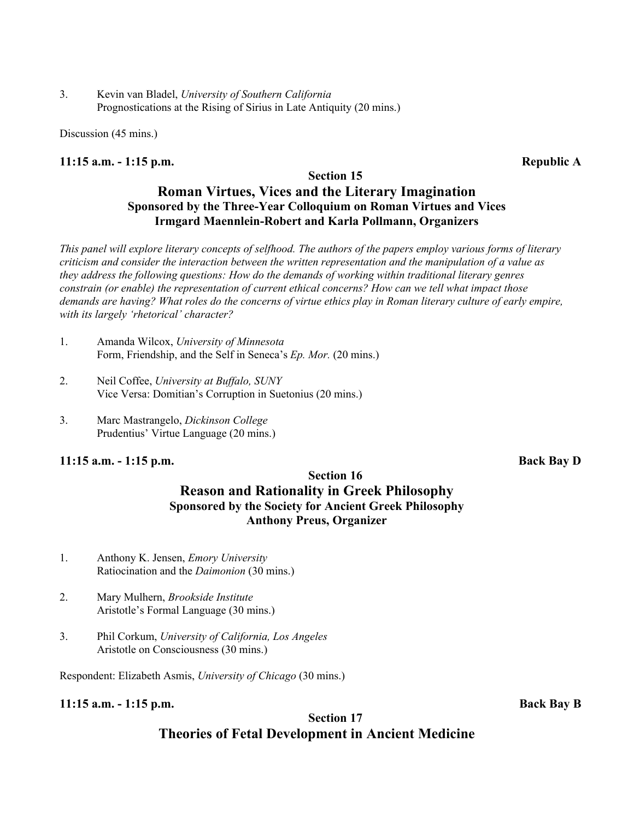3. Kevin van Bladel, *University of Southern California* Prognostications at the Rising of Sirius in Late Antiquity (20 mins.)

Discussion (45 mins.)

#### **11:15 a.m. - 1:15 p.m. Republic A**

#### **Section 15**

### **Roman Virtues, Vices and the Literary Imagination Sponsored by the Three-Year Colloquium on Roman Virtues and Vices Irmgard Maennlein-Robert and Karla Pollmann, Organizers**

*This panel will explore literary concepts of selfhood. The authors of the papers employ various forms of literary criticism and consider the interaction between the written representation and the manipulation of a value as they address the following questions: How do the demands of working within traditional literary genres constrain (or enable) the representation of current ethical concerns? How can we tell what impact those demands are having? What roles do the concerns of virtue ethics play in Roman literary culture of early empire, with its largely 'rhetorical' character?*

- 1. Amanda Wilcox, *University of Minnesota* Form, Friendship, and the Self in Seneca's *Ep. Mor.* (20 mins.)
- 2. Neil Coffee, *University at Buffalo, SUNY* Vice Versa: Domitian's Corruption in Suetonius (20 mins.)
- 3. Marc Mastrangelo, *Dickinson College* Prudentius' Virtue Language (20 mins.)

#### **11:15 a.m. - 1:15 p.m. Back Bay D**

#### **Section 16 Reason and Rationality in Greek Philosophy Sponsored by the Society for Ancient Greek Philosophy Anthony Preus, Organizer**

- 1. Anthony K. Jensen, *Emory University* Ratiocination and the *Daimonion* (30 mins.)
- 2. Mary Mulhern, *Brookside Institute* Aristotle's Formal Language (30 mins.)
- 3. Phil Corkum, *University of California, Los Angeles* Aristotle on Consciousness (30 mins.)

Respondent: Elizabeth Asmis, *University of Chicago* (30 mins.)

**11:15 a.m. - 1:15 p.m. Back Bay B**

### **Section 17 Theories of Fetal Development in Ancient Medicine**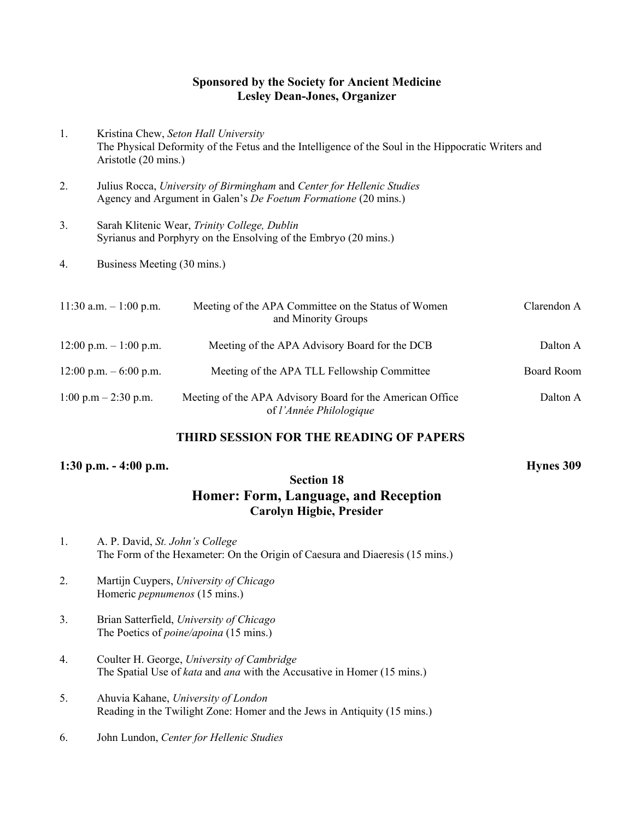#### **Sponsored by the Society for Ancient Medicine Lesley Dean-Jones, Organizer**

- 1. Kristina Chew, *Seton Hall University* The Physical Deformity of the Fetus and the Intelligence of the Soul in the Hippocratic Writers and Aristotle (20 mins.)
- 2. Julius Rocca, *University of Birmingham* and *Center for Hellenic Studies* Agency and Argument in Galen's *De Foetum Formatione* (20 mins.)
- 3. Sarah Klitenic Wear, *Trinity College, Dublin* Syrianus and Porphyry on the Ensolving of the Embryo (20 mins.)
- 4. Business Meeting (30 mins.)

| $11:30$ a.m. $-1:00$ p.m.              | Meeting of the APA Committee on the Status of Women<br>and Minority Groups           | Clarendon A |
|----------------------------------------|--------------------------------------------------------------------------------------|-------------|
| $12:00$ p.m. $-1:00$ p.m.              | Meeting of the APA Advisory Board for the DCB                                        | Dalton A    |
| $12:00$ p.m. $-6:00$ p.m.              | Meeting of the APA TLL Fellowship Committee                                          | Board Room  |
| $1:00 \text{ p.m} - 2:30 \text{ p.m.}$ | Meeting of the APA Advisory Board for the American Office<br>of l'Année Philologique | Dalton A    |

#### **THIRD SESSION FOR THE READING OF PAPERS**

#### **1:30 p.m. - 4:00 p.m. Hynes 309**

#### **Section 18 Homer: Form, Language, and Reception Carolyn Higbie, Presider**

- 1. A. P. David, *St. John's College* The Form of the Hexameter: On the Origin of Caesura and Diaeresis (15 mins.)
- 2. Martijn Cuypers, *University of Chicago* Homeric *pepnumenos* (15 mins.)
- 3. Brian Satterfield, *University of Chicago* The Poetics of *poine/apoina* (15 mins.)
- 4. Coulter H. George, *University of Cambridge* The Spatial Use of *kata* and *ana* with the Accusative in Homer (15 mins.)
- 5. Ahuvia Kahane, *University of London* Reading in the Twilight Zone: Homer and the Jews in Antiquity (15 mins.)
- 6. John Lundon, *Center for Hellenic Studies*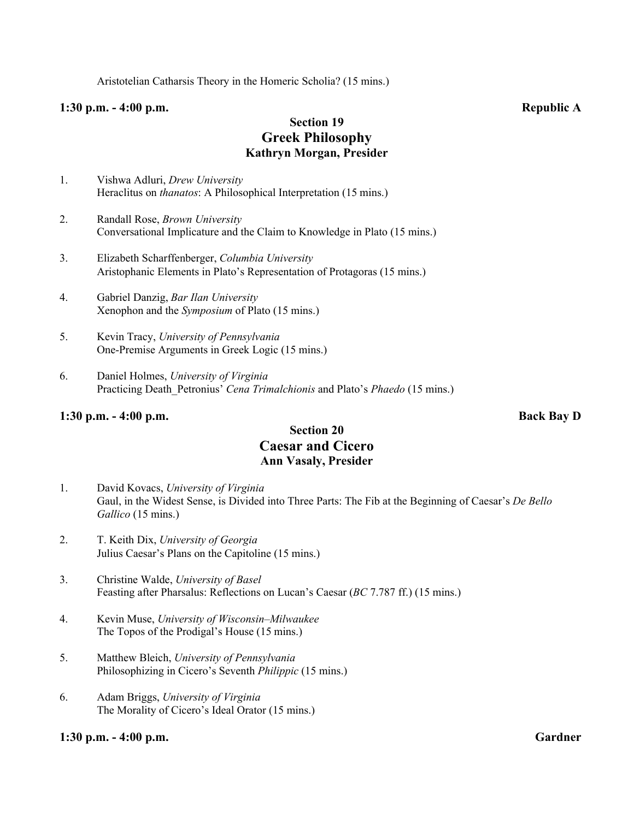Aristotelian Catharsis Theory in the Homeric Scholia? (15 mins.)

#### **1:30 p.m. - 4:00 p.m. Republic A**

#### **Section 19 Greek Philosophy Kathryn Morgan, Presider**

- 1. Vishwa Adluri, *Drew University* Heraclitus on *thanatos*: A Philosophical Interpretation (15 mins.)
- 2. Randall Rose, *Brown University* Conversational Implicature and the Claim to Knowledge in Plato (15 mins.)
- 3. Elizabeth Scharffenberger, *Columbia University* Aristophanic Elements in Plato's Representation of Protagoras (15 mins.)
- 4. Gabriel Danzig, *Bar Ilan University* Xenophon and the *Symposium* of Plato (15 mins.)
- 5. Kevin Tracy, *University of Pennsylvania* One-Premise Arguments in Greek Logic (15 mins.)
- 6. Daniel Holmes, *University of Virginia* Practicing Death\_Petronius' *Cena Trimalchionis* and Plato's *Phaedo* (15 mins.)

#### **1:30 p.m. - 4:00 p.m. Back Bay D**

### **Section 20 Caesar and Cicero Ann Vasaly, Presider**

- 1. David Kovacs, *University of Virginia* Gaul, in the Widest Sense, is Divided into Three Parts: The Fib at the Beginning of Caesar's *De Bello Gallico* (15 mins.)
- 2. T. Keith Dix, *University of Georgia* Julius Caesar's Plans on the Capitoline (15 mins.)
- 3. Christine Walde, *University of Basel* Feasting after Pharsalus: Reflections on Lucan's Caesar (*BC* 7.787 ff.) (15 mins.)
- 4. Kevin Muse, *University of Wisconsin–Milwaukee* The Topos of the Prodigal's House (15 mins.)
- 5. Matthew Bleich, *University of Pennsylvania* Philosophizing in Cicero's Seventh *Philippic* (15 mins.)
- 6. Adam Briggs, *University of Virginia* The Morality of Cicero's Ideal Orator (15 mins.)

#### **1:30 p.m. - 4:00 p.m. Gardner**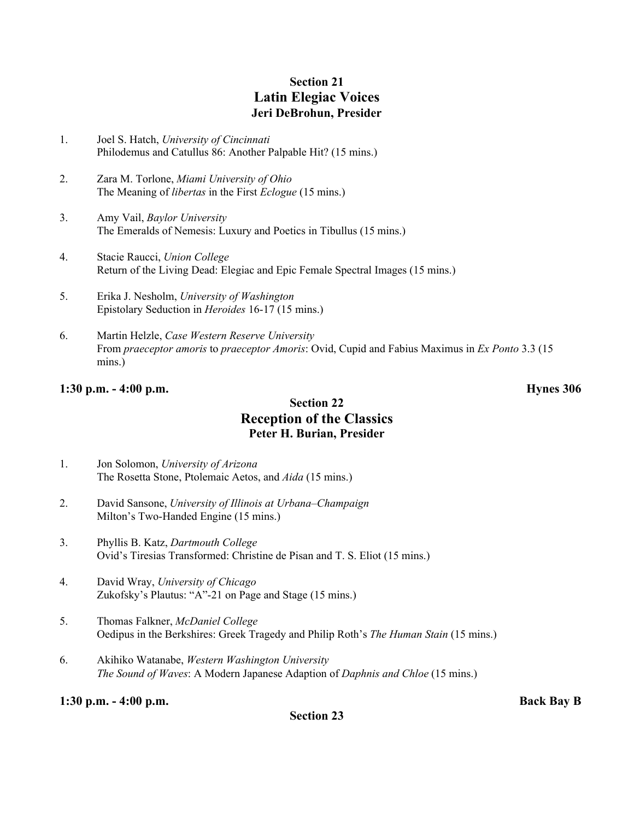### **Section 21 Latin Elegiac Voices Jeri DeBrohun, Presider**

- 1. Joel S. Hatch, *University of Cincinnati* Philodemus and Catullus 86: Another Palpable Hit? (15 mins.)
- 2. Zara M. Torlone, *Miami University of Ohio* The Meaning of *libertas* in the First *Eclogue* (15 mins.)
- 3. Amy Vail, *Baylor University* The Emeralds of Nemesis: Luxury and Poetics in Tibullus (15 mins.)
- 4. Stacie Raucci, *Union College* Return of the Living Dead: Elegiac and Epic Female Spectral Images (15 mins.)
- 5. Erika J. Nesholm, *University of Washington* Epistolary Seduction in *Heroides* 16-17 (15 mins.)
- 6. Martin Helzle, *Case Western Reserve University* From *praeceptor amoris* to *praeceptor Amoris*: Ovid, Cupid and Fabius Maximus in *Ex Ponto* 3.3 (15 mins.)

#### **1:30 p.m. - 4:00 p.m. Hynes 306**

#### **Section 22 Reception of the Classics Peter H. Burian, Presider**

- 1. Jon Solomon, *University of Arizona* The Rosetta Stone, Ptolemaic Aetos, and *Aida* (15 mins.)
- 2. David Sansone, *University of Illinois at Urbana–Champaign* Milton's Two-Handed Engine (15 mins.)
- 3. Phyllis B. Katz, *Dartmouth College* Ovid's Tiresias Transformed: Christine de Pisan and T. S. Eliot (15 mins.)
- 4. David Wray, *University of Chicago* Zukofsky's Plautus: "A"-21 on Page and Stage (15 mins.)
- 5. Thomas Falkner, *McDaniel College* Oedipus in the Berkshires: Greek Tragedy and Philip Roth's *The Human Stain* (15 mins.)
- 6. Akihiko Watanabe, *Western Washington University The Sound of Waves*: A Modern Japanese Adaption of *Daphnis and Chloe* (15 mins.)

**1:30 p.m. - 4:00 p.m. Back Bay B**

**Section 23**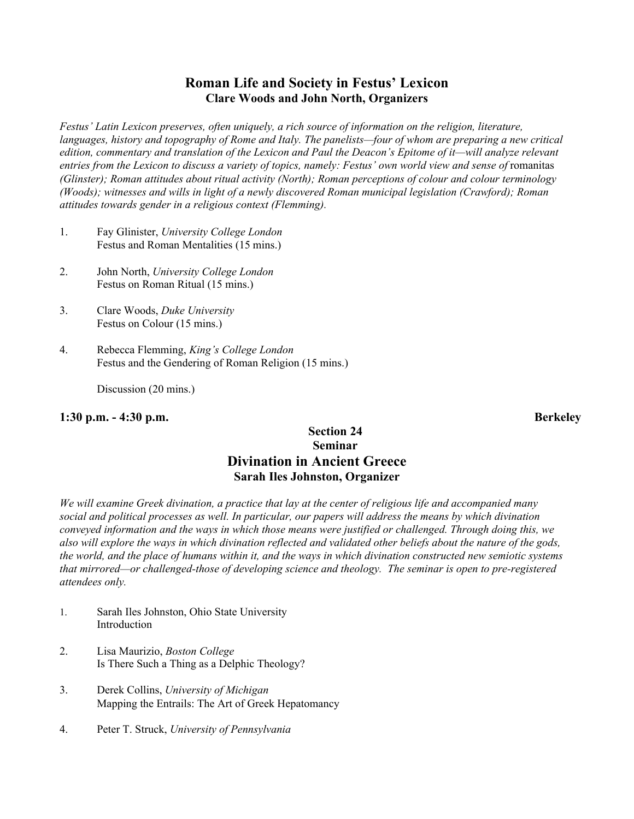### **Roman Life and Society in Festus' Lexicon Clare Woods and John North, Organizers**

*Festus' Latin Lexicon preserves, often uniquely, a rich source of information on the religion, literature, languages, history and topography of Rome and Italy. The panelists—four of whom are preparing a new critical edition, commentary and translation of the Lexicon and Paul the Deacon's Epitome of it—will analyze relevant* entries from the Lexicon to discuss a variety of topics, namely: Festus' own world view and sense of romanitas *(Glinster); Roman attitudes about ritual activity (North); Roman perceptions of colour and colour terminology (Woods); witnesses and wills in light of a newly discovered Roman municipal legislation (Crawford); Roman attitudes towards gender in a religious context (Flemming).*

- 1. Fay Glinister, *University College London* Festus and Roman Mentalities (15 mins.)
- 2. John North, *University College London* Festus on Roman Ritual (15 mins.)
- 3. Clare Woods, *Duke University* Festus on Colour (15 mins.)
- 4. Rebecca Flemming, *King's College London* Festus and the Gendering of Roman Religion (15 mins.)

Discussion (20 mins.)

#### **1:30 p.m. - 4:30 p.m. Berkeley**

#### **Section 24 Seminar Divination in Ancient Greece Sarah Iles Johnston, Organizer**

*We will examine Greek divination, a practice that lay at the center of religious life and accompanied many social and political processes as well. In particular, our papers will address the means by which divination conveyed information and the ways in which those means were justified or challenged. Through doing this, we also will explore the ways in which divination reflected and validated other beliefs about the nature of the gods, the world, and the place of humans within it, and the ways in which divination constructed new semiotic systems that mirrored—or challenged-those of developing science and theology. The seminar is open to pre-registered attendees only.*

- 1. Sarah Iles Johnston, Ohio State University Introduction
- 2. Lisa Maurizio, *Boston College* Is There Such a Thing as a Delphic Theology?
- 3. Derek Collins, *University of Michigan* Mapping the Entrails: The Art of Greek Hepatomancy
- 4. Peter T. Struck, *University of Pennsylvania*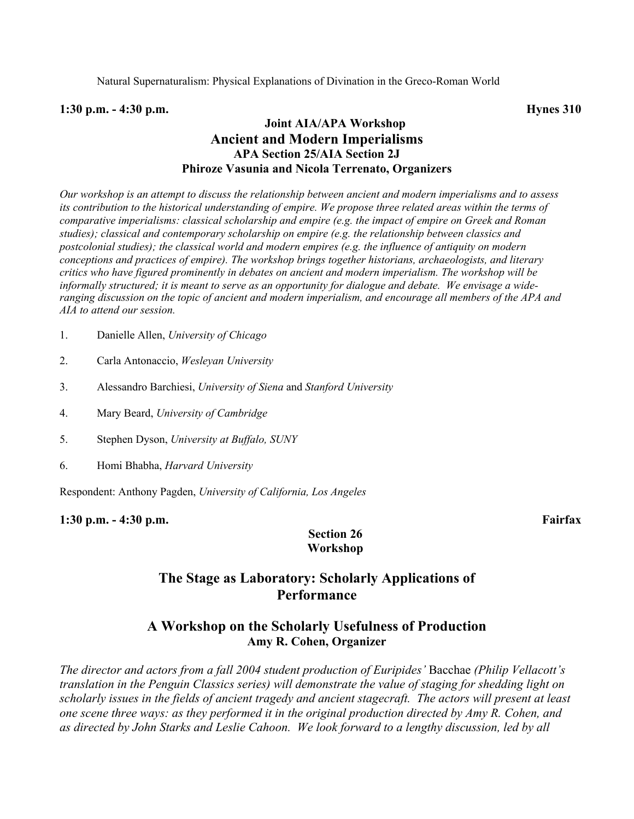#### **1:30 p.m. - 4:30 p.m. Hynes 310**

#### **Joint AIA/APA Workshop Ancient and Modern Imperialisms APA Section 25/AIA Section 2J Phiroze Vasunia and Nicola Terrenato, Organizers**

*Our workshop is an attempt to discuss the relationship between ancient and modern imperialisms and to assess its contribution to the historical understanding of empire. We propose three related areas within the terms of comparative imperialisms: classical scholarship and empire (e.g. the impact of empire on Greek and Roman studies); classical and contemporary scholarship on empire (e.g. the relationship between classics and postcolonial studies); the classical world and modern empires (e.g. the influence of antiquity on modern conceptions and practices of empire). The workshop brings together historians, archaeologists, and literary critics who have figured prominently in debates on ancient and modern imperialism. The workshop will be informally structured; it is meant to serve as an opportunity for dialogue and debate. We envisage a wideranging discussion on the topic of ancient and modern imperialism, and encourage all members of the APA and AIA to attend our session.*

- 1. Danielle Allen, *University of Chicago*
- 2. Carla Antonaccio, *Wesleyan University*
- 3. Alessandro Barchiesi, *University of Siena* and *Stanford University*
- 4. Mary Beard, *University of Cambridge*
- 5. Stephen Dyson, *University at Buffalo, SUNY*
- 6. Homi Bhabha, *Harvard University*

Respondent: Anthony Pagden, *University of California, Los Angeles*

**1:30 p.m. - 4:30 p.m. Fairfax**

#### **Section 26 Workshop**

#### **The Stage as Laboratory: Scholarly Applications of Performance**

#### **A Workshop on the Scholarly Usefulness of Production Amy R. Cohen, Organizer**

*The director and actors from a fall 2004 student production of Euripides'* Bacchae *(Philip Vellacott's translation in the Penguin Classics series) will demonstrate the value of staging for shedding light on scholarly issues in the fields of ancient tragedy and ancient stagecraft. The actors will present at least one scene three ways: as they performed it in the original production directed by Amy R. Cohen, and as directed by John Starks and Leslie Cahoon. We look forward to a lengthy discussion, led by all*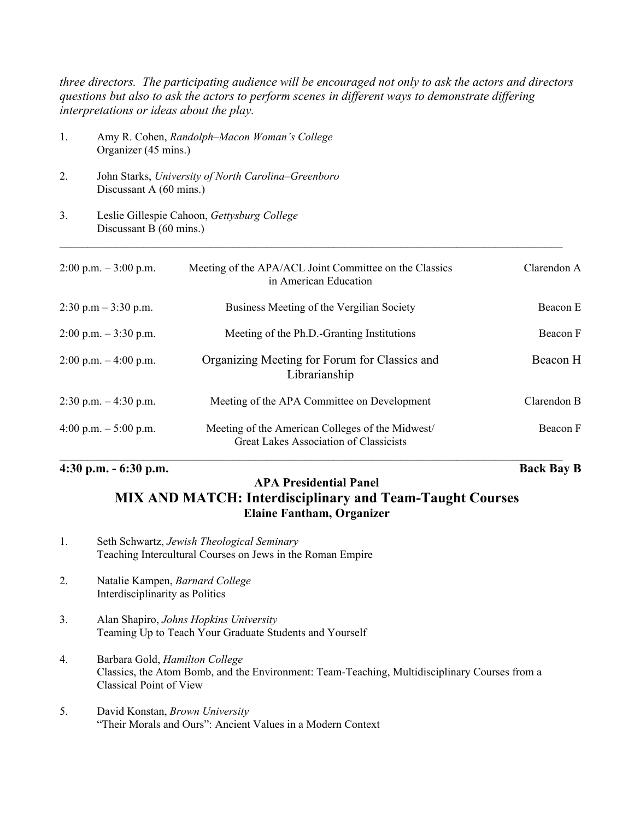*three directors. The participating audience will be encouraged not only to ask the actors and directors questions but also to ask the actors to perform scenes in different ways to demonstrate differing interpretations or ideas about the play.*

- 1. Amy R. Cohen, *Randolph–Macon Woman's College* Organizer (45 mins.)
- 2. John Starks, *University of North Carolina–Greenboro* Discussant A (60 mins.)
- 3. Leslie Gillespie Cahoon, *Gettysburg College* Discussant B (60 mins.)

| $2:00 \text{ p.m.} - 3:00 \text{ p.m.}$ | Meeting of the APA/ACL Joint Committee on the Classics<br>in American Education           | Clarendon A |
|-----------------------------------------|-------------------------------------------------------------------------------------------|-------------|
| $2:30$ p.m $-3:30$ p.m.                 | Business Meeting of the Vergilian Society                                                 | Beacon E    |
| $2:00$ p.m. $-3:30$ p.m.                | Meeting of the Ph.D.-Granting Institutions                                                | Beacon F    |
| $2:00$ p.m. $-4:00$ p.m.                | Organizing Meeting for Forum for Classics and<br>Librarianship                            | Beacon H    |
| $2:30$ p.m. $-4:30$ p.m.                | Meeting of the APA Committee on Development                                               | Clarendon B |
| 4:00 p.m. $-5:00$ p.m.                  | Meeting of the American Colleges of the Midwest<br>Great Lakes Association of Classicists | Beacon F    |

 $\mathcal{L}_\mathcal{L} = \mathcal{L}_\mathcal{L} = \mathcal{L}_\mathcal{L} = \mathcal{L}_\mathcal{L} = \mathcal{L}_\mathcal{L} = \mathcal{L}_\mathcal{L} = \mathcal{L}_\mathcal{L} = \mathcal{L}_\mathcal{L} = \mathcal{L}_\mathcal{L} = \mathcal{L}_\mathcal{L} = \mathcal{L}_\mathcal{L} = \mathcal{L}_\mathcal{L} = \mathcal{L}_\mathcal{L} = \mathcal{L}_\mathcal{L} = \mathcal{L}_\mathcal{L} = \mathcal{L}_\mathcal{L} = \mathcal{L}_\mathcal{L}$ 

#### **4:30 p.m. - 6:30 p.m. Back Bay B**

# **APA Presidential Panel**

## **MIX AND MATCH: Interdisciplinary and Team-Taught Courses Elaine Fantham, Organizer**

- 1. Seth Schwartz, *Jewish Theological Seminary* Teaching Intercultural Courses on Jews in the Roman Empire
- 2. Natalie Kampen, *Barnard College* Interdisciplinarity as Politics
- 3. Alan Shapiro, *Johns Hopkins University* Teaming Up to Teach Your Graduate Students and Yourself
- 4. Barbara Gold, *Hamilton College* Classics, the Atom Bomb, and the Environment: Team-Teaching, Multidisciplinary Courses from a Classical Point of View
- 5. David Konstan, *Brown University* "Their Morals and Ours": Ancient Values in a Modern Context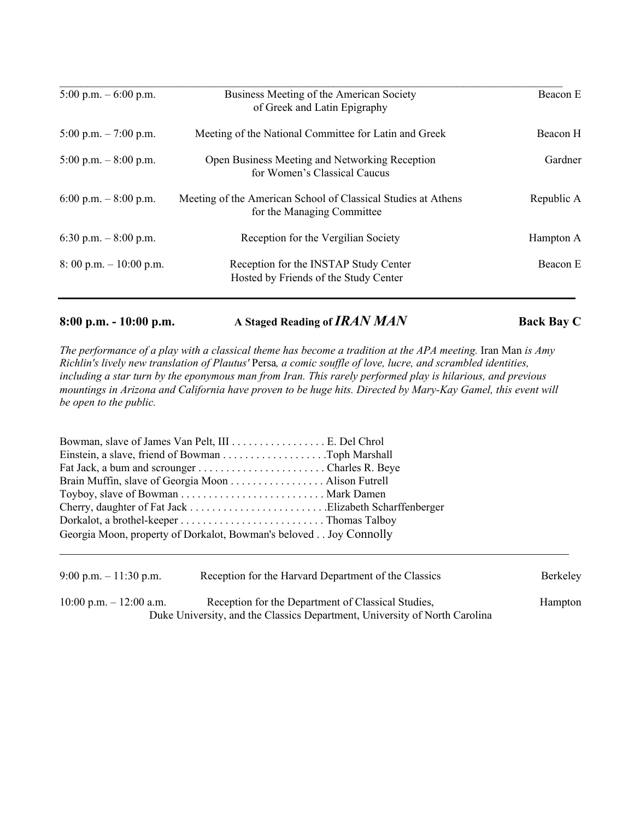| 5:00 p.m. $-$ 6:00 p.m.                  | Business Meeting of the American Society<br>of Greek and Latin Epigraphy                    | Beacon E   |
|------------------------------------------|---------------------------------------------------------------------------------------------|------------|
|                                          |                                                                                             |            |
| $5:00$ p.m. $-7:00$ p.m.                 | Meeting of the National Committee for Latin and Greek                                       | Beacon H   |
| $5:00$ p.m. $-8:00$ p.m.                 | Open Business Meeting and Networking Reception<br>for Women's Classical Caucus              | Gardner    |
| 6:00 p.m. $-8:00$ p.m.                   | Meeting of the American School of Classical Studies at Athens<br>for the Managing Committee | Republic A |
| 6:30 p.m. $-8:00$ p.m.                   | Reception for the Vergilian Society                                                         | Hampton A  |
| $8:00 \text{ p.m.} - 10:00 \text{ p.m.}$ | Reception for the INSTAP Study Center<br>Hosted by Friends of the Study Center              | Beacon E   |

**8:00 p.m. - 10:00 p.m. A Staged Reading of** *IRAN MAN* **Back Bay C**

*The performance of a play with a classical theme has become a tradition at the APA meeting.* Iran Man *is Amy Richlin's lively new translation of Plautus'* Persa*, a comic souffle of love, lucre, and scrambled identities, including a star turn by the eponymous man from Iran. This rarely performed play is hilarious, and previous mountings in Arizona and California have proven to be huge hits. Directed by Mary-Kay Gamel, this event will be open to the public.*

| Brain Muffin, slave of Georgia Moon Alison Futrell                |  |  |
|-------------------------------------------------------------------|--|--|
|                                                                   |  |  |
|                                                                   |  |  |
|                                                                   |  |  |
| Georgia Moon, property of Dorkalot, Bowman's beloved Joy Connolly |  |  |
|                                                                   |  |  |

| 9:00 p.m. $-11:30$ p.m.    | Reception for the Harvard Department of the Classics                       | Berkeley |
|----------------------------|----------------------------------------------------------------------------|----------|
| $10:00$ p.m. $-12:00$ a.m. | Reception for the Department of Classical Studies,                         | Hampton  |
|                            | Duke University, and the Classics Department, University of North Carolina |          |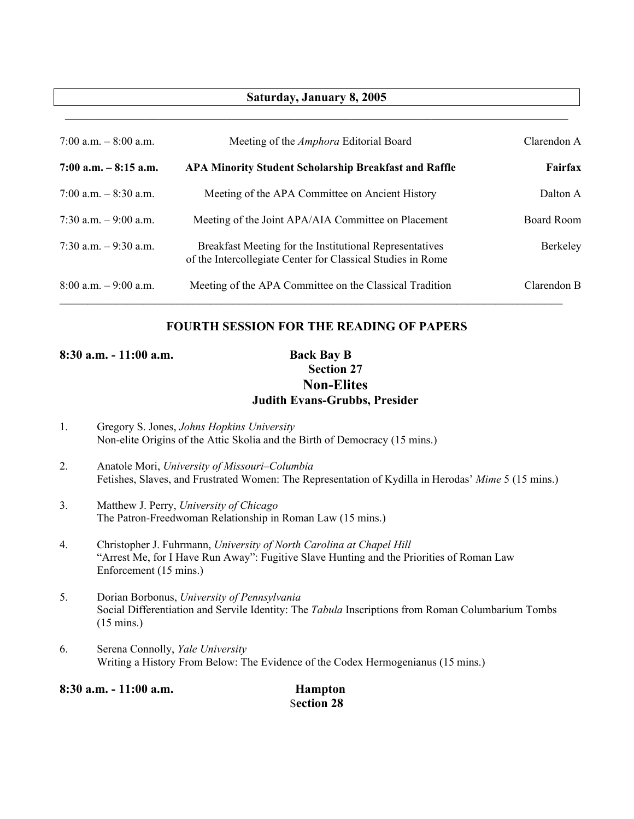#### **Saturday, January 8, 2005**  $\mathcal{L}_\mathcal{L} = \{ \mathcal{L}_\mathcal{L} = \{ \mathcal{L}_\mathcal{L} = \{ \mathcal{L}_\mathcal{L} = \{ \mathcal{L}_\mathcal{L} = \{ \mathcal{L}_\mathcal{L} = \{ \mathcal{L}_\mathcal{L} = \{ \mathcal{L}_\mathcal{L} = \{ \mathcal{L}_\mathcal{L} = \{ \mathcal{L}_\mathcal{L} = \{ \mathcal{L}_\mathcal{L} = \{ \mathcal{L}_\mathcal{L} = \{ \mathcal{L}_\mathcal{L} = \{ \mathcal{L}_\mathcal{L} = \{ \mathcal{L}_\mathcal{$

| 7:00 a.m. $-8:00$ a.m.   | Meeting of the <i>Amphora</i> Editorial Board                                                                          | Clarendon A       |
|--------------------------|------------------------------------------------------------------------------------------------------------------------|-------------------|
| $7:00$ a.m. $-8:15$ a.m. | <b>APA Minority Student Scholarship Breakfast and Raffle</b>                                                           | <b>Fairfax</b>    |
| 7:00 a.m. $-$ 8:30 a.m.  | Meeting of the APA Committee on Ancient History                                                                        | Dalton A          |
| 7:30 a.m. $-9:00$ a.m.   | Meeting of the Joint APA/AIA Committee on Placement                                                                    | <b>Board Room</b> |
| $7:30$ a.m. $-9:30$ a.m. | Breakfast Meeting for the Institutional Representatives<br>of the Intercollegiate Center for Classical Studies in Rome | Berkeley          |
| $8:00$ a.m. $-9:00$ a.m. | Meeting of the APA Committee on the Classical Tradition                                                                | Clarendon B       |

#### **FOURTH SESSION FOR THE READING OF PAPERS**

**8:30 a.m. - 11:00 a.m. Back Bay B**

## **Section 27 Non-Elites Judith Evans-Grubbs, Presider**

- 1. Gregory S. Jones, *Johns Hopkins University* Non-elite Origins of the Attic Skolia and the Birth of Democracy (15 mins.)
- 2. Anatole Mori, *University of Missouri–Columbia* Fetishes, Slaves, and Frustrated Women: The Representation of Kydilla in Herodas' *Mime* 5 (15 mins.)
- 3. Matthew J. Perry, *University of Chicago* The Patron-Freedwoman Relationship in Roman Law (15 mins.)
- 4. Christopher J. Fuhrmann, *University of North Carolina at Chapel Hill* "Arrest Me, for I Have Run Away": Fugitive Slave Hunting and the Priorities of Roman Law Enforcement (15 mins.)
- 5. Dorian Borbonus, *University of Pennsylvania* Social Differentiation and Servile Identity: The *Tabula* Inscriptions from Roman Columbarium Tombs (15 mins.)
- 6. Serena Connolly, *Yale University* Writing a History From Below: The Evidence of the Codex Hermogenianus (15 mins.)

**8:30 a.m. - 11:00 a.m. Hampton**

S**ection 28**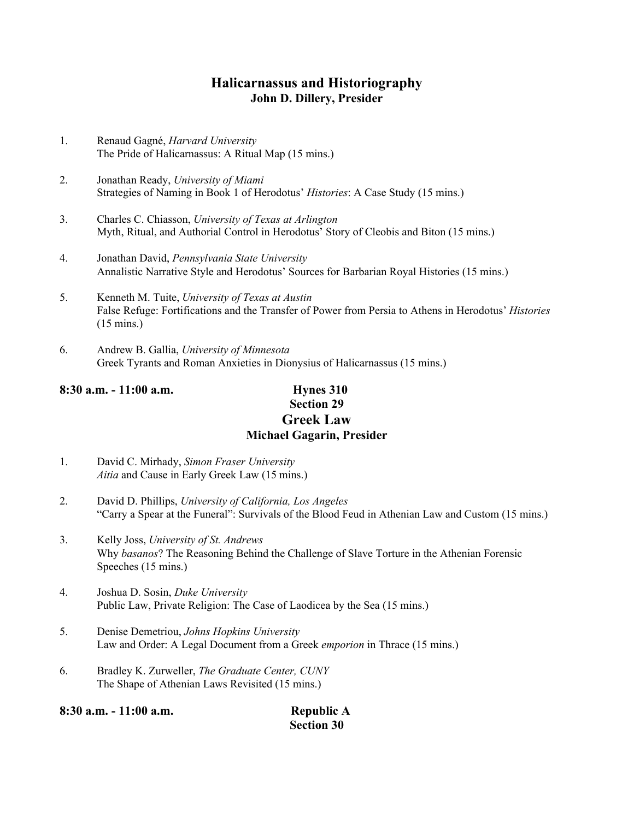### **Halicarnassus and Historiography John D. Dillery, Presider**

- 1. Renaud Gagné, *Harvard University* The Pride of Halicarnassus: A Ritual Map (15 mins.)
- 2. Jonathan Ready, *University of Miami* Strategies of Naming in Book 1 of Herodotus' *Histories*: A Case Study (15 mins.)
- 3. Charles C. Chiasson, *University of Texas at Arlington* Myth, Ritual, and Authorial Control in Herodotus' Story of Cleobis and Biton (15 mins.)
- 4. Jonathan David, *Pennsylvania State University* Annalistic Narrative Style and Herodotus' Sources for Barbarian Royal Histories (15 mins.)
- 5. Kenneth M. Tuite, *University of Texas at Austin* False Refuge: Fortifications and the Transfer of Power from Persia to Athens in Herodotus' *Histories* (15 mins.)
- 6. Andrew B. Gallia, *University of Minnesota* Greek Tyrants and Roman Anxieties in Dionysius of Halicarnassus (15 mins.)

## **8:30 a.m. - 11:00 a.m. Hynes 310**

## **Section 29 Greek Law Michael Gagarin, Presider**

- 1. David C. Mirhady, *Simon Fraser University Aitia* and Cause in Early Greek Law (15 mins.)
- 2. David D. Phillips, *University of California, Los Angeles* "Carry a Spear at the Funeral": Survivals of the Blood Feud in Athenian Law and Custom (15 mins.)
- 3. Kelly Joss, *University of St. Andrews* Why *basanos*? The Reasoning Behind the Challenge of Slave Torture in the Athenian Forensic Speeches (15 mins.)
- 4. Joshua D. Sosin, *Duke University* Public Law, Private Religion: The Case of Laodicea by the Sea (15 mins.)
- 5. Denise Demetriou, *Johns Hopkins University* Law and Order: A Legal Document from a Greek *emporion* in Thrace (15 mins.)
- 6. Bradley K. Zurweller, *The Graduate Center, CUNY* The Shape of Athenian Laws Revisited (15 mins.)

| 8:30 a.m. - 11:00 a.m. | <b>Republic A</b> |
|------------------------|-------------------|
|                        | <b>Section 30</b> |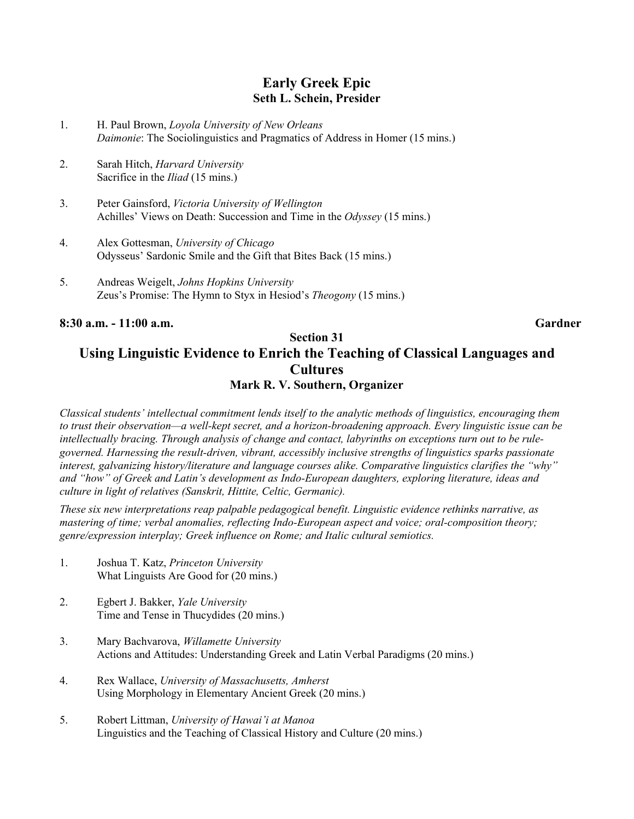#### **Early Greek Epic Seth L. Schein, Presider**

- 1. H. Paul Brown, *Loyola University of New Orleans Daimonie*: The Sociolinguistics and Pragmatics of Address in Homer (15 mins.)
- 2. Sarah Hitch, *Harvard University* Sacrifice in the *Iliad* (15 mins.)
- 3. Peter Gainsford, *Victoria University of Wellington* Achilles' Views on Death: Succession and Time in the *Odyssey* (15 mins.)
- 4. Alex Gottesman, *University of Chicago* Odysseus' Sardonic Smile and the Gift that Bites Back (15 mins.)
- 5. Andreas Weigelt, *Johns Hopkins University* Zeus's Promise: The Hymn to Styx in Hesiod's *Theogony* (15 mins.)

**8:30 a.m. - 11:00 a.m. Gardner**

### **Section 31 Using Linguistic Evidence to Enrich the Teaching of Classical Languages and Cultures Mark R. V. Southern, Organizer**

*Classical students' intellectual commitment lends itself to the analytic methods of linguistics, encouraging them to trust their observation—a well-kept secret, and a horizon-broadening approach. Every linguistic issue can be intellectually bracing. Through analysis of change and contact, labyrinths on exceptions turn out to be rulegoverned. Harnessing the result-driven, vibrant, accessibly inclusive strengths of linguistics sparks passionate interest, galvanizing history/literature and language courses alike. Comparative linguistics clarifies the "why" and "how" of Greek and Latin's development as Indo-European daughters, exploring literature, ideas and culture in light of relatives (Sanskrit, Hittite, Celtic, Germanic).*

*These six new interpretations reap palpable pedagogical benefit. Linguistic evidence rethinks narrative, as mastering of time; verbal anomalies, reflecting Indo-European aspect and voice; oral-composition theory; genre/expression interplay; Greek influence on Rome; and Italic cultural semiotics.*

- 1. Joshua T. Katz, *Princeton University* What Linguists Are Good for (20 mins.)
- 2. Egbert J. Bakker, *Yale University* Time and Tense in Thucydides (20 mins.)
- 3. Mary Bachvarova, *Willamette University* Actions and Attitudes: Understanding Greek and Latin Verbal Paradigms (20 mins.)
- 4. Rex Wallace, *University of Massachusetts, Amherst* Using Morphology in Elementary Ancient Greek (20 mins.)
- 5. Robert Littman, *University of Hawai'i at Manoa* Linguistics and the Teaching of Classical History and Culture (20 mins.)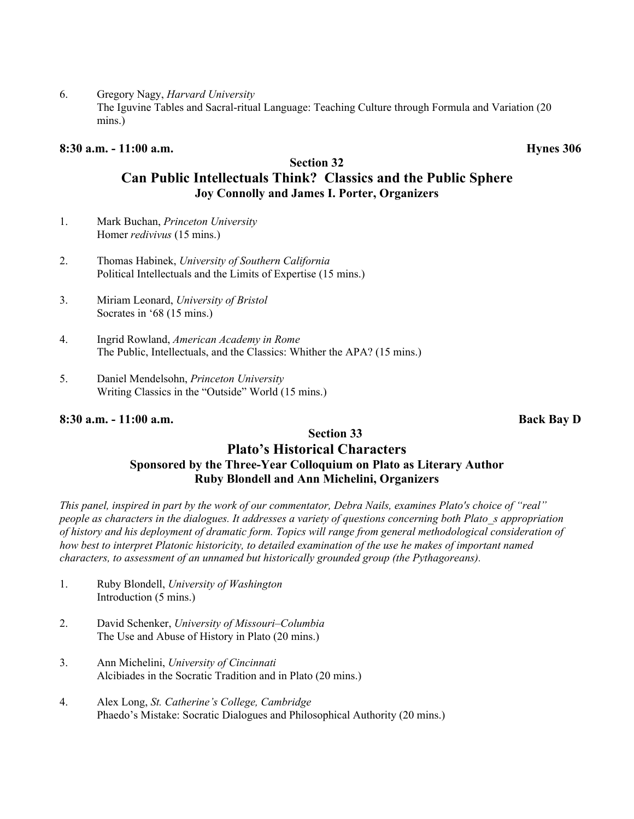6. Gregory Nagy, *Harvard University*

The Iguvine Tables and Sacral-ritual Language: Teaching Culture through Formula and Variation (20 mins.)

#### **8:30 a.m. - 11:00 a.m. Hynes 306**

#### **Section 32**

## **Can Public Intellectuals Think? Classics and the Public Sphere Joy Connolly and James I. Porter, Organizers**

- 1. Mark Buchan, *Princeton University* Homer *redivivus* (15 mins.)
- 2. Thomas Habinek, *University of Southern California* Political Intellectuals and the Limits of Expertise (15 mins.)
- 3. Miriam Leonard, *University of Bristol* Socrates in '68 (15 mins.)
- 4. Ingrid Rowland, *American Academy in Rome* The Public, Intellectuals, and the Classics: Whither the APA? (15 mins.)
- 5. Daniel Mendelsohn, *Princeton University* Writing Classics in the "Outside" World (15 mins.)

#### **8:30 a.m. - 11:00 a.m. Back Bay D**

### **Section 33**

### **Plato's Historical Characters Sponsored by the Three-Year Colloquium on Plato as Literary Author Ruby Blondell and Ann Michelini, Organizers**

*This panel, inspired in part by the work of our commentator, Debra Nails, examines Plato's choice of "real" people as characters in the dialogues. It addresses a variety of questions concerning both Plato\_s appropriation of history and his deployment of dramatic form. Topics will range from general methodological consideration of how best to interpret Platonic historicity, to detailed examination of the use he makes of important named characters, to assessment of an unnamed but historically grounded group (the Pythagoreans).*

- 1. Ruby Blondell, *University of Washington* Introduction (5 mins.)
- 2. David Schenker, *University of Missouri–Columbia* The Use and Abuse of History in Plato (20 mins.)
- 3. Ann Michelini, *University of Cincinnati* Alcibiades in the Socratic Tradition and in Plato (20 mins.)
- 4. Alex Long, *St. Catherine's College, Cambridge* Phaedo's Mistake: Socratic Dialogues and Philosophical Authority (20 mins.)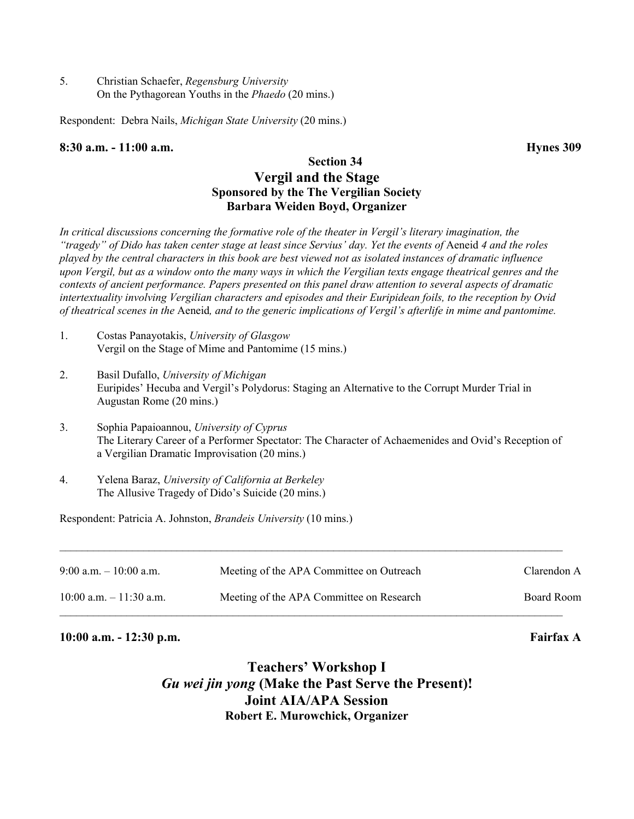5. Christian Schaefer, *Regensburg University* On the Pythagorean Youths in the *Phaedo* (20 mins.)

Respondent: Debra Nails, *Michigan State University* (20 mins.)

#### **8:30 a.m. - 11:00 a.m. Hynes 309**

### **Section 34 Vergil and the Stage Sponsored by the The Vergilian Society Barbara Weiden Boyd, Organizer**

*In critical discussions concerning the formative role of the theater in Vergil's literary imagination, the "tragedy" of Dido has taken center stage at least since Servius' day. Yet the events of Aeneid 4 and the roles played by the central characters in this book are best viewed not as isolated instances of dramatic influence upon Vergil, but as a window onto the many ways in which the Vergilian texts engage theatrical genres and the contexts of ancient performance. Papers presented on this panel draw attention to several aspects of dramatic intertextuality involving Vergilian characters and episodes and their Euripidean foils, to the reception by Ovid of theatrical scenes in the* Aeneid*, and to the generic implications of Vergil's afterlife in mime and pantomime.*

- 1. Costas Panayotakis, *University of Glasgow* Vergil on the Stage of Mime and Pantomime (15 mins.)
- 2. Basil Dufallo, *University of Michigan* Euripides' Hecuba and Vergil's Polydorus: Staging an Alternative to the Corrupt Murder Trial in Augustan Rome (20 mins.)
- 3. Sophia Papaioannou, *University of Cyprus* The Literary Career of a Performer Spectator: The Character of Achaemenides and Ovid's Reception of a Vergilian Dramatic Improvisation (20 mins.)
- 4. Yelena Baraz, *University of California at Berkeley* The Allusive Tragedy of Dido's Suicide (20 mins.)

Respondent: Patricia A. Johnston, *Brandeis University* (10 mins.)

| $9:00$ a.m. $-10:00$ a.m.  | Meeting of the APA Committee on Outreach | Clarendon A |
|----------------------------|------------------------------------------|-------------|
| $10:00$ a.m. $-11:30$ a.m. | Meeting of the APA Committee on Research | Board Room  |

#### **10:00 a.m. - 12:30 p.m. Fairfax A**

**Teachers' Workshop I** *Gu wei jin yong* **(Make the Past Serve the Present)! Joint AIA/APA Session Robert E. Murowchick, Organizer**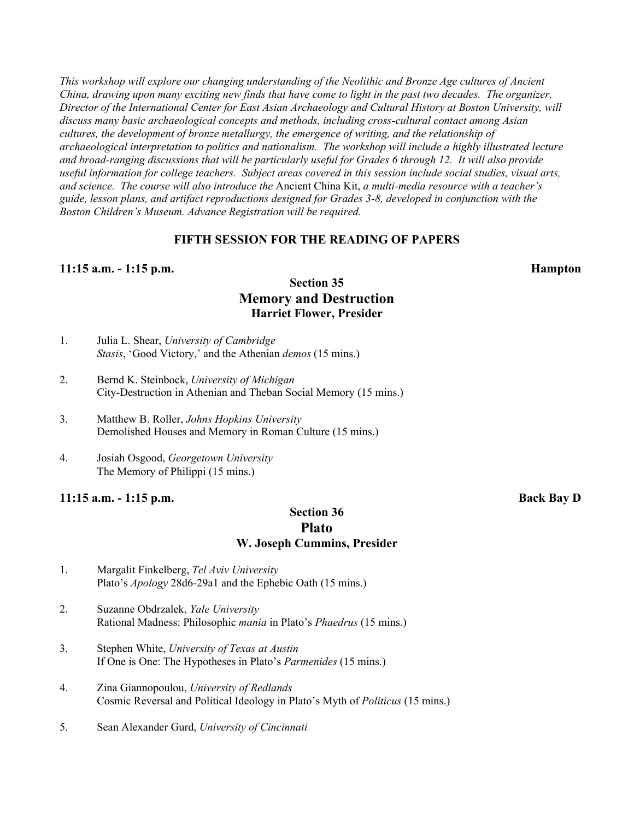*This workshop will explore our changing understanding of the Neolithic and Bronze Age cultures of Ancient China, drawing upon many exciting new finds that have come to light in the past two decades. The organizer, Director of the International Center for East Asian Archaeology and Cultural History at Boston University, will discuss many basic archaeological concepts and methods, including cross-cultural contact among Asian cultures, the development of bronze metallurgy, the emergence of writing, and the relationship of archaeological interpretation to politics and nationalism. The workshop will include a highly illustrated lecture and broad-ranging discussions that will be particularly useful for Grades 6 through 12. It will also provide useful information for college teachers. Subject areas covered in this session include social studies, visual arts, and science. The course will also introduce the* Ancient China Kit, *a multi-media resource with a teacher's guide, lesson plans, and artifact reproductions designed for Grades 3-8, developed in conjunction with the Boston Children's Museum. Advance Registration will be required.*

#### **FIFTH SESSION FOR THE READING OF PAPERS**

#### **11:15 a.m. - 1:15 p.m. Hampton**

#### **Section 35 Memory and Destruction Harriet Flower, Presider**

- 1. Julia L. Shear, *University of Cambridge Stasis*, 'Good Victory,' and the Athenian *demos* (15 mins.)
- 2. Bernd K. Steinbock, *University of Michigan* City-Destruction in Athenian and Theban Social Memory (15 mins.)
- 3. Matthew B. Roller, *Johns Hopkins University* Demolished Houses and Memory in Roman Culture (15 mins.)
- 4. Josiah Osgood, *Georgetown University* The Memory of Philippi (15 mins.)

#### **11:15 a.m. - 1:15 p.m. Back Bay D**

#### **Section 36 Plato W. Joseph Cummins, Presider**

- 1. Margalit Finkelberg, *Tel Aviv University* Plato's *Apology* 28d6-29a1 and the Ephebic Oath (15 mins.)
- 2. Suzanne Obdrzalek, *Yale University* Rational Madness: Philosophic *mania* in Plato's *Phaedrus* (15 mins.)
- 3. Stephen White, *University of Texas at Austin* If One is One: The Hypotheses in Plato's *Parmenides* (15 mins.)
- 4. Zina Giannopoulou, *University of Redlands* Cosmic Reversal and Political Ideology in Plato's Myth of *Politicus* (15 mins.)
- 5. Sean Alexander Gurd, *University of Cincinnati*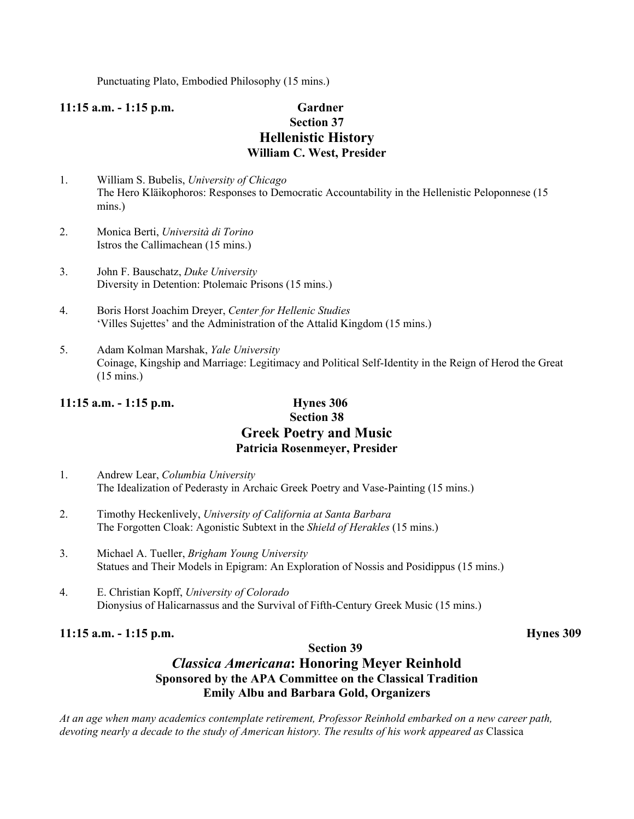Punctuating Plato, Embodied Philosophy (15 mins.)

## **11:15 a.m. - 1:15 p.m. Gardner Section 37 Hellenistic History William C. West, Presider**

- 1. William S. Bubelis, *University of Chicago* The Hero Kläikophoros: Responses to Democratic Accountability in the Hellenistic Peloponnese (15 mins.)
- 2. Monica Berti, *Università di Torino* Istros the Callimachean (15 mins.)
- 3. John F. Bauschatz, *Duke University* Diversity in Detention: Ptolemaic Prisons (15 mins.)
- 4. Boris Horst Joachim Dreyer, *Center for Hellenic Studies* 'Villes Sujettes' and the Administration of the Attalid Kingdom (15 mins.)
- 5. Adam Kolman Marshak, *Yale University* Coinage, Kingship and Marriage: Legitimacy and Political Self-Identity in the Reign of Herod the Great (15 mins.)

#### **11:15 a.m. - 1:15 p.m. Hynes 306**

#### **Section 38 Greek Poetry and Music Patricia Rosenmeyer, Presider**

- 1. Andrew Lear, *Columbia University* The Idealization of Pederasty in Archaic Greek Poetry and Vase-Painting (15 mins.)
- 2. Timothy Heckenlively, *University of California at Santa Barbara* The Forgotten Cloak: Agonistic Subtext in the *Shield of Herakles* (15 mins.)
- 3. Michael A. Tueller, *Brigham Young University* Statues and Their Models in Epigram: An Exploration of Nossis and Posidippus (15 mins.)
- 4. E. Christian Kopff, *University of Colorado* Dionysius of Halicarnassus and the Survival of Fifth-Century Greek Music (15 mins.)

#### **11:15 a.m. - 1:15 p.m. Hynes 309**

#### **Section 39**

## *Classica Americana***: Honoring Meyer Reinhold Sponsored by the APA Committee on the Classical Tradition Emily Albu and Barbara Gold, Organizers**

*At an age when many academics contemplate retirement, Professor Reinhold embarked on a new career path, devoting nearly a decade to the study of American history. The results of his work appeared as* Classica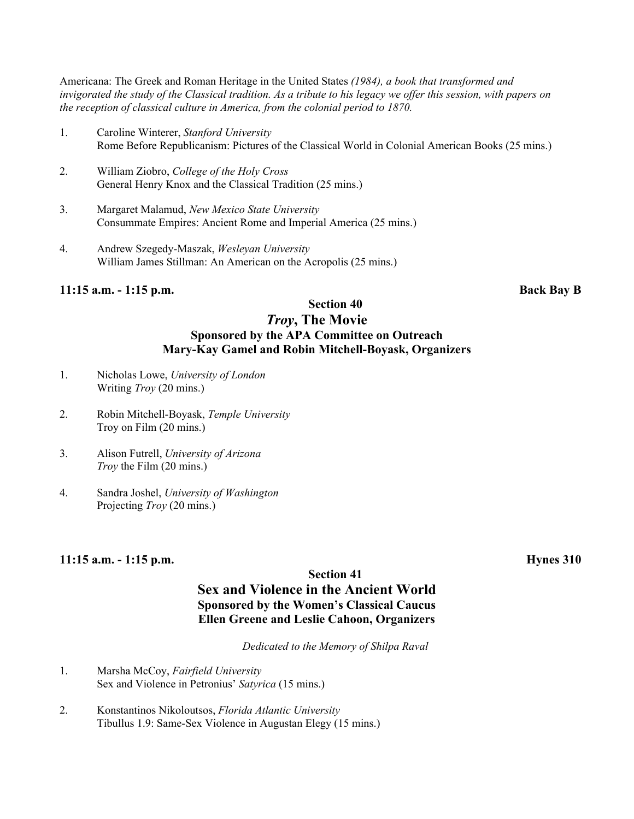Americana: The Greek and Roman Heritage in the United States *(1984), a book that transformed and invigorated the study of the Classical tradition. As a tribute to his legacy we offer this session, with papers on the reception of classical culture in America, from the colonial period to 1870.*

- 1. Caroline Winterer, *Stanford University* Rome Before Republicanism: Pictures of the Classical World in Colonial American Books (25 mins.)
- 2. William Ziobro, *College of the Holy Cross* General Henry Knox and the Classical Tradition (25 mins.)
- 3. Margaret Malamud, *New Mexico State University* Consummate Empires: Ancient Rome and Imperial America (25 mins.)
- 4. Andrew Szegedy-Maszak, *Wesleyan University* William James Stillman: An American on the Acropolis (25 mins.)

#### **11:15 a.m. - 1:15 p.m. Back Bay B**

#### **Section 40** *Troy***, The Movie Sponsored by the APA Committee on Outreach Mary-Kay Gamel and Robin Mitchell-Boyask, Organizers**

- 1. Nicholas Lowe, *University of London* Writing *Troy* (20 mins.)
- 2. Robin Mitchell-Boyask, *Temple University* Troy on Film (20 mins.)
- 3. Alison Futrell, *University of Arizona Troy* the Film (20 mins.)
- 4. Sandra Joshel, *University of Washington* Projecting *Troy* (20 mins.)

#### **11:15 a.m. - 1:15 p.m. Hynes 310**

#### **Section 41 Sex and Violence in the Ancient World Sponsored by the Women's Classical Caucus Ellen Greene and Leslie Cahoon, Organizers**

*Dedicated to the Memory of Shilpa Raval*

- 1. Marsha McCoy, *Fairfield University* Sex and Violence in Petronius' *Satyrica* (15 mins.)
- 2. Konstantinos Nikoloutsos, *Florida Atlantic University* Tibullus 1.9: Same-Sex Violence in Augustan Elegy (15 mins.)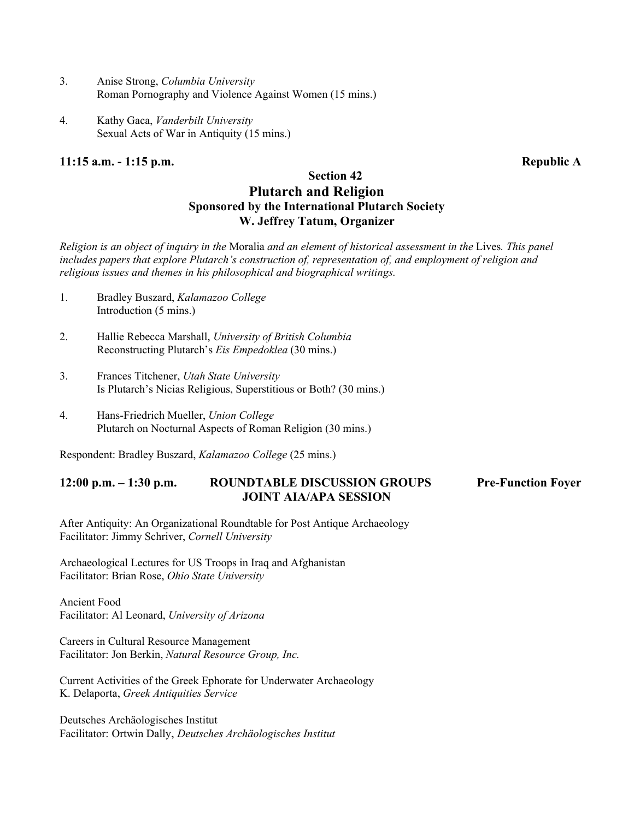- 3. Anise Strong, *Columbia University* Roman Pornography and Violence Against Women (15 mins.)
- 4. Kathy Gaca, *Vanderbilt University* Sexual Acts of War in Antiquity (15 mins.)

#### **11:15 a.m. - 1:15 p.m. Republic A**

#### **Section 42 Plutarch and Religion Sponsored by the International Plutarch Society W. Jeffrey Tatum, Organizer**

*Religion is an object of inquiry in the* Moralia *and an element of historical assessment in the* Lives*. This panel includes papers that explore Plutarch's construction of, representation of, and employment of religion and religious issues and themes in his philosophical and biographical writings.*

- 1. Bradley Buszard, *Kalamazoo College* Introduction (5 mins.)
- 2. Hallie Rebecca Marshall, *University of British Columbia* Reconstructing Plutarch's *Eis Empedoklea* (30 mins.)
- 3. Frances Titchener, *Utah State University* Is Plutarch's Nicias Religious, Superstitious or Both? (30 mins.)
- 4. Hans-Friedrich Mueller, *Union College* Plutarch on Nocturnal Aspects of Roman Religion (30 mins.)

Respondent: Bradley Buszard, *Kalamazoo College* (25 mins.)

#### **12:00 p.m. – 1:30 p.m. ROUNDTABLE DISCUSSION GROUPS Pre-Function Foyer JOINT AIA/APA SESSION**

After Antiquity: An Organizational Roundtable for Post Antique Archaeology Facilitator: Jimmy Schriver, *Cornell University*

Archaeological Lectures for US Troops in Iraq and Afghanistan Facilitator: Brian Rose, *Ohio State University*

Ancient Food Facilitator: Al Leonard, *University of Arizona*

Careers in Cultural Resource Management Facilitator: Jon Berkin, *Natural Resource Group, Inc.*

Current Activities of the Greek Ephorate for Underwater Archaeology K. Delaporta, *Greek Antiquities Service*

Deutsches Archäologisches Institut Facilitator: Ortwin Dally, *Deutsches Archäologisches Institut*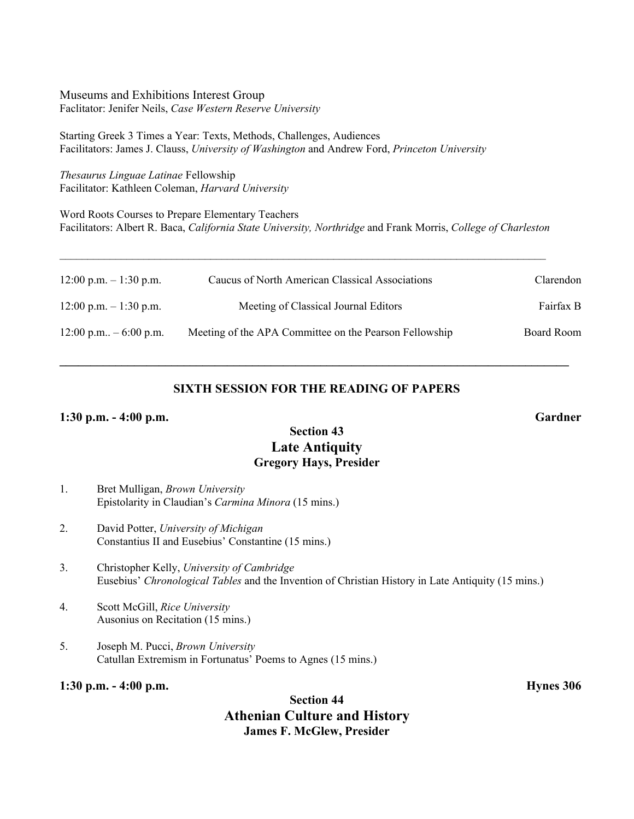Museums and Exhibitions Interest Group Faclitator: Jenifer Neils, *Case Western Reserve University*

Starting Greek 3 Times a Year: Texts, Methods, Challenges, Audiences Facilitators: James J. Clauss, *University of Washington* and Andrew Ford, *Princeton University*

*Thesaurus Linguae Latinae* Fellowship Facilitator: Kathleen Coleman, *Harvard University*

Word Roots Courses to Prepare Elementary Teachers Facilitators: Albert R. Baca, *California State University, Northridge* and Frank Morris, *College of Charleston*

 $\mathcal{L}_\mathcal{L} = \{ \mathcal{L}_\mathcal{L} = \{ \mathcal{L}_\mathcal{L} = \{ \mathcal{L}_\mathcal{L} = \{ \mathcal{L}_\mathcal{L} = \{ \mathcal{L}_\mathcal{L} = \{ \mathcal{L}_\mathcal{L} = \{ \mathcal{L}_\mathcal{L} = \{ \mathcal{L}_\mathcal{L} = \{ \mathcal{L}_\mathcal{L} = \{ \mathcal{L}_\mathcal{L} = \{ \mathcal{L}_\mathcal{L} = \{ \mathcal{L}_\mathcal{L} = \{ \mathcal{L}_\mathcal{L} = \{ \mathcal{L}_\mathcal{$ 

| $12:00$ p.m. $-1:30$ p.m. | Caucus of North American Classical Associations        | Clarendon  |
|---------------------------|--------------------------------------------------------|------------|
| $12:00$ p.m. $-1:30$ p.m. | Meeting of Classical Journal Editors                   | Fairfax B  |
| $12:00$ p.m $-6:00$ p.m.  | Meeting of the APA Committee on the Pearson Fellowship | Board Room |

#### **SIXTH SESSION FOR THE READING OF PAPERS**

**\_\_\_\_\_\_\_\_\_\_\_\_\_\_\_\_\_\_\_\_\_\_\_\_\_\_\_\_\_\_\_\_\_\_\_\_\_\_\_\_\_\_\_\_\_\_\_\_\_\_\_\_\_\_\_\_\_\_\_\_\_\_\_\_\_\_\_\_\_\_\_\_\_\_\_\_\_\_\_\_\_\_**

#### **1:30 p.m. - 4:00 p.m. Gardner**

#### **Section 43 Late Antiquity Gregory Hays, Presider**

- 1. Bret Mulligan, *Brown University* Epistolarity in Claudian's *Carmina Minora* (15 mins.)
- 2. David Potter, *University of Michigan* Constantius II and Eusebius' Constantine (15 mins.)
- 3. Christopher Kelly, *University of Cambridge* Eusebius' *Chronological Tables* and the Invention of Christian History in Late Antiquity (15 mins.)
- 4. Scott McGill, *Rice University* Ausonius on Recitation (15 mins.)
- 5. Joseph M. Pucci, *Brown University* Catullan Extremism in Fortunatus' Poems to Agnes (15 mins.)

#### **1:30 p.m. - 4:00 p.m. Hynes 306**

### **Section 44 Athenian Culture and History James F. McGlew, Presider**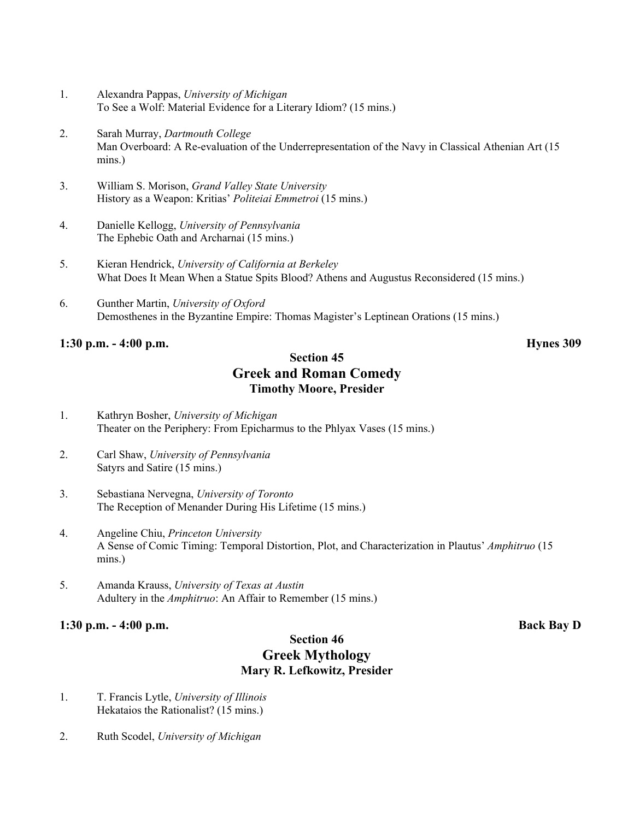- 1. Alexandra Pappas, *University of Michigan* To See a Wolf: Material Evidence for a Literary Idiom? (15 mins.)
- 2. Sarah Murray, *Dartmouth College* Man Overboard: A Re-evaluation of the Underrepresentation of the Navy in Classical Athenian Art (15 mins.)
- 3. William S. Morison, *Grand Valley State University* History as a Weapon: Kritias' *Politeiai Emmetroi* (15 mins.)
- 4. Danielle Kellogg, *University of Pennsylvania* The Ephebic Oath and Archarnai (15 mins.)
- 5. Kieran Hendrick, *University of California at Berkeley* What Does It Mean When a Statue Spits Blood? Athens and Augustus Reconsidered (15 mins.)
- 6. Gunther Martin, *University of Oxford* Demosthenes in the Byzantine Empire: Thomas Magister's Leptinean Orations (15 mins.)

#### **1:30 p.m. - 4:00 p.m. Hynes 309**

#### **Section 45 Greek and Roman Comedy Timothy Moore, Presider**

- 1. Kathryn Bosher, *University of Michigan* Theater on the Periphery: From Epicharmus to the Phlyax Vases (15 mins.)
- 2. Carl Shaw, *University of Pennsylvania* Satyrs and Satire (15 mins.)
- 3. Sebastiana Nervegna, *University of Toronto* The Reception of Menander During His Lifetime (15 mins.)
- 4. Angeline Chiu, *Princeton University* A Sense of Comic Timing: Temporal Distortion, Plot, and Characterization in Plautus' *Amphitruo* (15 mins.)
- 5. Amanda Krauss, *University of Texas at Austin* Adultery in the *Amphitruo*: An Affair to Remember (15 mins.)

#### **1:30 p.m. - 4:00 p.m. Back Bay D**

#### **Section 46 Greek Mythology Mary R. Lefkowitz, Presider**

- 1. T. Francis Lytle, *University of Illinois* Hekataios the Rationalist? (15 mins.)
- 2. Ruth Scodel, *University of Michigan*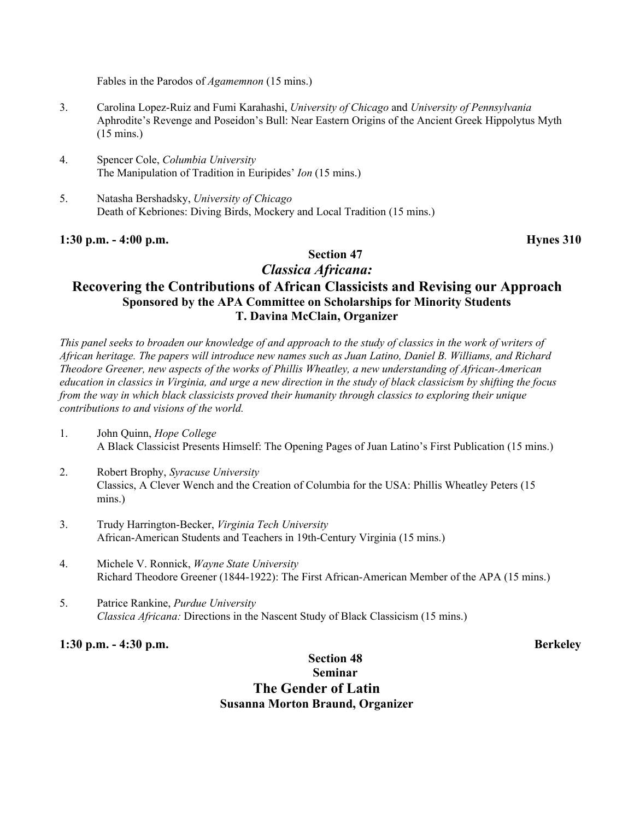Fables in the Parodos of *Agamemnon* (15 mins.)

- 3. Carolina Lopez-Ruiz and Fumi Karahashi, *University of Chicago* and *University of Pennsylvania* Aphrodite's Revenge and Poseidon's Bull: Near Eastern Origins of the Ancient Greek Hippolytus Myth (15 mins.)
- 4. Spencer Cole, *Columbia University* The Manipulation of Tradition in Euripides' *Ion* (15 mins.)
- 5. Natasha Bershadsky, *University of Chicago* Death of Kebriones: Diving Birds, Mockery and Local Tradition (15 mins.)

#### **1:30 p.m. - 4:00 p.m. Hynes 310**

## *Classica Africana:*

**Section 47**

## **Recovering the Contributions of African Classicists and Revising our Approach Sponsored by the APA Committee on Scholarships for Minority Students T. Davina McClain, Organizer**

*This panel seeks to broaden our knowledge of and approach to the study of classics in the work of writers of African heritage. The papers will introduce new names such as Juan Latino, Daniel B. Williams, and Richard Theodore Greener, new aspects of the works of Phillis Wheatley, a new understanding of African-American education in classics in Virginia, and urge a new direction in the study of black classicism by shifting the focus from the way in which black classicists proved their humanity through classics to exploring their unique contributions to and visions of the world.*

- 1. John Quinn, *Hope College* A Black Classicist Presents Himself: The Opening Pages of Juan Latino's First Publication (15 mins.)
- 2. Robert Brophy, *Syracuse University* Classics, A Clever Wench and the Creation of Columbia for the USA: Phillis Wheatley Peters (15 mins.)
- 3. Trudy Harrington-Becker, *Virginia Tech University* African-American Students and Teachers in 19th-Century Virginia (15 mins.)
- 4. Michele V. Ronnick, *Wayne State University* Richard Theodore Greener (1844-1922): The First African-American Member of the APA (15 mins.)
- 5. Patrice Rankine, *Purdue University Classica Africana:* Directions in the Nascent Study of Black Classicism (15 mins.)

**1:30 p.m. - 4:30 p.m. Berkeley**

#### **Section 48 Seminar The Gender of Latin Susanna Morton Braund, Organizer**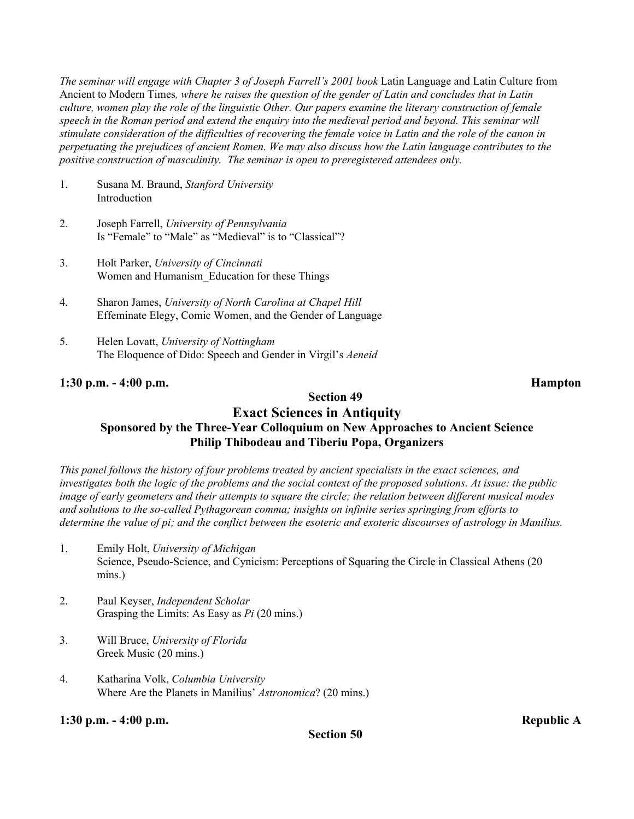*The seminar will engage with Chapter 3 of Joseph Farrell's 2001 book* Latin Language and Latin Culture from Ancient to Modern Times*, where he raises the question of the gender of Latin and concludes that in Latin culture, women play the role of the linguistic Other. Our papers examine the literary construction of female speech in the Roman period and extend the enquiry into the medieval period and beyond. This seminar will stimulate consideration of the difficulties of recovering the female voice in Latin and the role of the canon in perpetuating the prejudices of ancient Romen. We may also discuss how the Latin language contributes to the positive construction of masculinity. The seminar is open to preregistered attendees only.*

- 1. Susana M. Braund, *Stanford University* **Introduction**
- 2. Joseph Farrell, *University of Pennsylvania* Is "Female" to "Male" as "Medieval" is to "Classical"?
- 3. Holt Parker, *University of Cincinnati* Women and Humanism\_Education for these Things
- 4. Sharon James, *University of North Carolina at Chapel Hill* Effeminate Elegy, Comic Women, and the Gender of Language
- 5. Helen Lovatt, *University of Nottingham* The Eloquence of Dido: Speech and Gender in Virgil's *Aeneid*

#### **1:30 p.m. - 4:00 p.m. Hampton**

## **Section 49**

#### **Exact Sciences in Antiquity Sponsored by the Three-Year Colloquium on New Approaches to Ancient Science Philip Thibodeau and Tiberiu Popa, Organizers**

*This panel follows the history of four problems treated by ancient specialists in the exact sciences, and investigates both the logic of the problems and the social context of the proposed solutions. At issue: the public image of early geometers and their attempts to square the circle; the relation between different musical modes and solutions to the so-called Pythagorean comma; insights on infinite series springing from efforts to determine the value of pi; and the conflict between the esoteric and exoteric discourses of astrology in Manilius.*

- 1. Emily Holt, *University of Michigan* Science, Pseudo-Science, and Cynicism: Perceptions of Squaring the Circle in Classical Athens (20 mins.)
- 2. Paul Keyser, *Independent Scholar* Grasping the Limits: As Easy as *Pi* (20 mins.)
- 3. Will Bruce, *University of Florida* Greek Music (20 mins.)
- 4. Katharina Volk, *Columbia University* Where Are the Planets in Manilius' *Astronomica*? (20 mins.)

#### **1:30 p.m. - 4:00 p.m. Republic A**

**Section 50**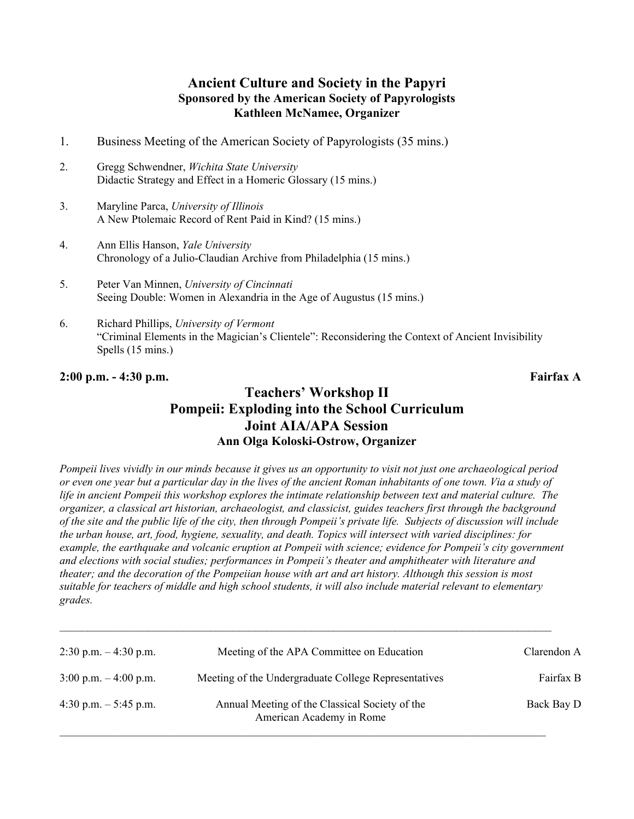### **Ancient Culture and Society in the Papyri Sponsored by the American Society of Papyrologists Kathleen McNamee, Organizer**

- 1. Business Meeting of the American Society of Papyrologists (35 mins.)
- 2. Gregg Schwendner, *Wichita State University* Didactic Strategy and Effect in a Homeric Glossary (15 mins.)
- 3. Maryline Parca, *University of Illinois* A New Ptolemaic Record of Rent Paid in Kind? (15 mins.)
- 4. Ann Ellis Hanson, *Yale University* Chronology of a Julio-Claudian Archive from Philadelphia (15 mins.)
- 5. Peter Van Minnen, *University of Cincinnati* Seeing Double: Women in Alexandria in the Age of Augustus (15 mins.)
- 6. Richard Phillips, *University of Vermont* "Criminal Elements in the Magician's Clientele": Reconsidering the Context of Ancient Invisibility Spells (15 mins.)

**2:00 p.m. - 4:30 p.m. Fairfax A**

### **Teachers' Workshop II Pompeii: Exploding into the School Curriculum Joint AIA/APA Session Ann Olga Koloski-Ostrow, Organizer**

*Pompeii lives vividly in our minds because it gives us an opportunity to visit not just one archaeological period or even one year but a particular day in the lives of the ancient Roman inhabitants of one town. Via a study of life in ancient Pompeii this workshop explores the intimate relationship between text and material culture. The organizer, a classical art historian, archaeologist, and classicist, guides teachers first through the background of the site and the public life of the city, then through Pompeii's private life. Subjects of discussion will include the urban house, art, food, hygiene, sexuality, and death. Topics will intersect with varied disciplines: for example, the earthquake and volcanic eruption at Pompeii with science; evidence for Pompeii's city government and elections with social studies; performances in Pompeii's theater and amphitheater with literature and theater; and the decoration of the Pompeiian house with art and art history. Although this session is most suitable for teachers of middle and high school students, it will also include material relevant to elementary grades.*

| $2:30$ p.m. $-4:30$ p.m.                | Meeting of the APA Committee on Education                                  | Clarendon A |
|-----------------------------------------|----------------------------------------------------------------------------|-------------|
| $3:00 \text{ p.m.} - 4:00 \text{ p.m.}$ | Meeting of the Undergraduate College Representatives                       | Fairfax B   |
| 4:30 p.m. $-5:45$ p.m.                  | Annual Meeting of the Classical Society of the<br>American Academy in Rome | Back Bay D  |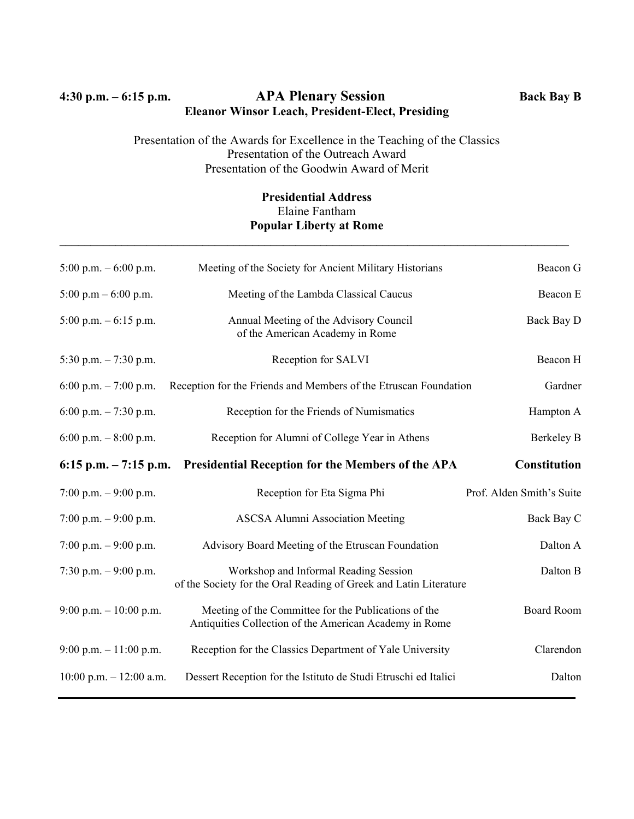### **4:30 p.m. – 6:15 p.m. APA Plenary Session Back Bay B Eleanor Winsor Leach, President-Elect, Presiding**

#### Presentation of the Awards for Excellence in the Teaching of the Classics Presentation of the Outreach Award Presentation of the Goodwin Award of Merit

#### **Presidential Address** Elaine Fantham **Popular Liberty at Rome**

**\_\_\_\_\_\_\_\_\_\_\_\_\_\_\_\_\_\_\_\_\_\_\_\_\_\_\_\_\_\_\_\_\_\_\_\_\_\_\_\_\_\_\_\_\_\_\_\_\_\_\_\_\_\_\_\_\_\_\_\_\_\_\_\_\_\_\_\_\_\_\_\_\_\_\_\_\_\_\_\_\_\_**

| 5:00 p.m. $-6:00$ p.m.    | Meeting of the Society for Ancient Military Historians                                                         | Beacon G                  |
|---------------------------|----------------------------------------------------------------------------------------------------------------|---------------------------|
| 5:00 p.m $-$ 6:00 p.m.    | Meeting of the Lambda Classical Caucus                                                                         | Beacon E                  |
| $5:00$ p.m. $-6:15$ p.m.  | Annual Meeting of the Advisory Council<br>of the American Academy in Rome                                      | Back Bay D                |
| 5:30 p.m. $-7:30$ p.m.    | Reception for SALVI                                                                                            | Beacon H                  |
| 6:00 p.m. $-7:00$ p.m.    | Reception for the Friends and Members of the Etruscan Foundation                                               | Gardner                   |
| 6:00 p.m. $-7:30$ p.m.    | Reception for the Friends of Numismatics                                                                       | Hampton A                 |
| 6:00 p.m. $-8:00$ p.m.    | Reception for Alumni of College Year in Athens                                                                 | Berkeley B                |
|                           | 6:15 p.m. – 7:15 p.m. Presidential Reception for the Members of the APA                                        | Constitution              |
|                           |                                                                                                                |                           |
| 7:00 p.m. $-9:00$ p.m.    | Reception for Eta Sigma Phi                                                                                    | Prof. Alden Smith's Suite |
| 7:00 p.m. $-9:00$ p.m.    | <b>ASCSA Alumni Association Meeting</b>                                                                        | Back Bay C                |
| 7:00 p.m. $-9:00$ p.m.    | Advisory Board Meeting of the Etruscan Foundation                                                              | Dalton A                  |
| 7:30 p.m. $-9:00$ p.m.    | Workshop and Informal Reading Session<br>of the Society for the Oral Reading of Greek and Latin Literature     | Dalton B                  |
| 9:00 p.m. $-10:00$ p.m.   | Meeting of the Committee for the Publications of the<br>Antiquities Collection of the American Academy in Rome | <b>Board Room</b>         |
| 9:00 p.m. $-11:00$ p.m.   | Reception for the Classics Department of Yale University                                                       | Clarendon                 |
| 10:00 p.m. $- 12:00$ a.m. | Dessert Reception for the Istituto de Studi Etruschi ed Italici                                                | Dalton                    |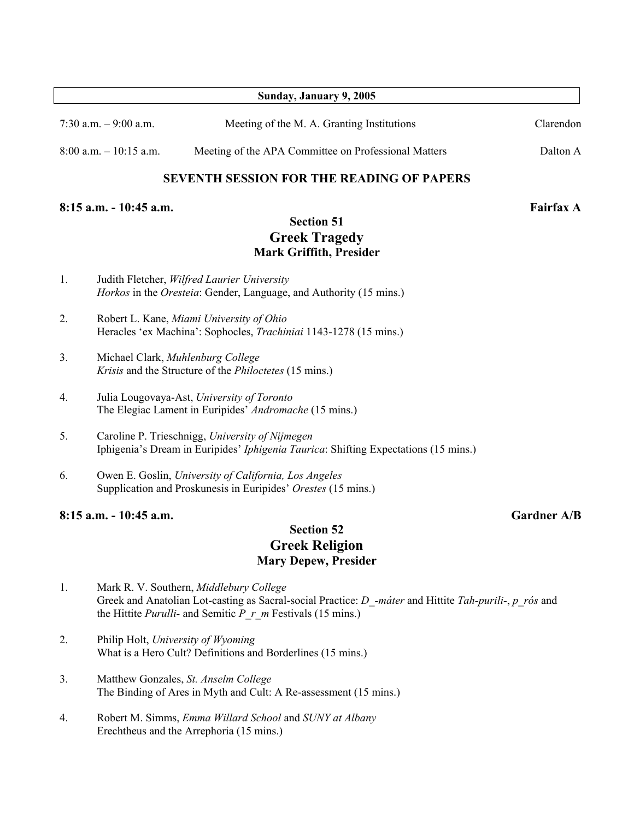|    |                                    | Sunday, January 9, 2005                                                                                                                                                                                                         |                    |
|----|------------------------------------|---------------------------------------------------------------------------------------------------------------------------------------------------------------------------------------------------------------------------------|--------------------|
|    | 7:30 a.m. $-9:00$ a.m.             | Meeting of the M. A. Granting Institutions                                                                                                                                                                                      | Clarendon          |
|    | $8:00$ a.m. $-10:15$ a.m.          | Meeting of the APA Committee on Professional Matters                                                                                                                                                                            | Dalton A           |
|    |                                    | <b>SEVENTH SESSION FOR THE READING OF PAPERS</b>                                                                                                                                                                                |                    |
|    | 8:15 a.m. - 10:45 a.m.             |                                                                                                                                                                                                                                 | <b>Fairfax A</b>   |
|    |                                    | <b>Section 51</b><br><b>Greek Tragedy</b><br><b>Mark Griffith, Presider</b>                                                                                                                                                     |                    |
| 1. |                                    | Judith Fletcher, Wilfred Laurier University<br>Horkos in the Oresteia: Gender, Language, and Authority (15 mins.)                                                                                                               |                    |
| 2. |                                    | Robert L. Kane, Miami University of Ohio<br>Heracles 'ex Machina': Sophocles, <i>Trachiniai</i> 1143-1278 (15 mins.)                                                                                                            |                    |
| 3. |                                    | Michael Clark, Muhlenburg College<br>Krisis and the Structure of the <i>Philoctetes</i> (15 mins.)                                                                                                                              |                    |
| 4. |                                    | Julia Lougovaya-Ast, University of Toronto<br>The Elegiac Lament in Euripides' Andromache (15 mins.)                                                                                                                            |                    |
| 5. |                                    | Caroline P. Trieschnigg, University of Nijmegen<br>Iphigenia's Dream in Euripides' <i>Iphigenia Taurica</i> : Shifting Expectations (15 mins.)                                                                                  |                    |
| 6. |                                    | Owen E. Goslin, University of California, Los Angeles<br>Supplication and Proskunesis in Euripides' Orestes (15 mins.)                                                                                                          |                    |
|    | 8:15 a.m. - 10:45 a.m.             |                                                                                                                                                                                                                                 | <b>Gardner A/B</b> |
|    |                                    | <b>Section 52</b><br><b>Greek Religion</b><br><b>Mary Depew, Presider</b>                                                                                                                                                       |                    |
| 1. |                                    | Mark R. V. Southern, Middlebury College<br>Greek and Anatolian Lot-casting as Sacral-social Practice: D_-máter and Hittite Tah-purili-, p_rós and<br>the Hittite <i>Purulli</i> - and Semitic <i>P r m</i> Festivals (15 mins.) |                    |
| 2. | Philip Holt, University of Wyoming | What is a Hero Cult? Definitions and Borderlines (15 mins.)                                                                                                                                                                     |                    |
| 3. |                                    | Matthew Gonzales, St. Anselm College                                                                                                                                                                                            |                    |

4. Robert M. Simms, *Emma Willard School* and *SUNY at Albany* Erechtheus and the Arrephoria (15 mins.)

The Binding of Ares in Myth and Cult: A Re-assessment (15 mins.)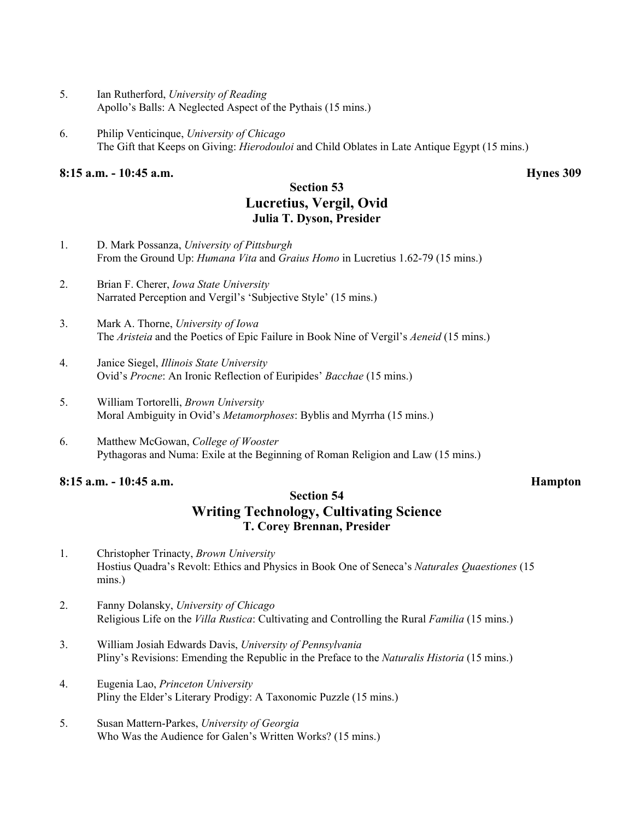- 5. Ian Rutherford, *University of Reading* Apollo's Balls: A Neglected Aspect of the Pythais (15 mins.)
- 6. Philip Venticinque, *University of Chicago* The Gift that Keeps on Giving: *Hierodouloi* and Child Oblates in Late Antique Egypt (15 mins.)

#### **8:15 a.m. - 10:45 a.m. Hynes 309**

### **Section 53 Lucretius, Vergil, Ovid Julia T. Dyson, Presider**

- 1. D. Mark Possanza, *University of Pittsburgh* From the Ground Up: *Humana Vita* and *Graius Homo* in Lucretius 1.62-79 (15 mins.)
- 2. Brian F. Cherer, *Iowa State University* Narrated Perception and Vergil's 'Subjective Style' (15 mins.)
- 3. Mark A. Thorne, *University of Iowa* The *Aristeia* and the Poetics of Epic Failure in Book Nine of Vergil's *Aeneid* (15 mins.)
- 4. Janice Siegel, *Illinois State University* Ovid's *Procne*: An Ironic Reflection of Euripides' *Bacchae* (15 mins.)
- 5. William Tortorelli, *Brown University* Moral Ambiguity in Ovid's *Metamorphoses*: Byblis and Myrrha (15 mins.)
- 6. Matthew McGowan, *College of Wooster* Pythagoras and Numa: Exile at the Beginning of Roman Religion and Law (15 mins.)

#### **8:15 a.m. - 10:45 a.m. Hampton**

### **Section 54 Writing Technology, Cultivating Science T. Corey Brennan, Presider**

- 1. Christopher Trinacty, *Brown University* Hostius Quadra's Revolt: Ethics and Physics in Book One of Seneca's *Naturales Quaestiones* (15 mins.)
- 2. Fanny Dolansky, *University of Chicago* Religious Life on the *Villa Rustica*: Cultivating and Controlling the Rural *Familia* (15 mins.)
- 3. William Josiah Edwards Davis, *University of Pennsylvania* Pliny's Revisions: Emending the Republic in the Preface to the *Naturalis Historia* (15 mins.)
- 4. Eugenia Lao, *Princeton University* Pliny the Elder's Literary Prodigy: A Taxonomic Puzzle (15 mins.)
- 5. Susan Mattern-Parkes, *University of Georgia* Who Was the Audience for Galen's Written Works? (15 mins.)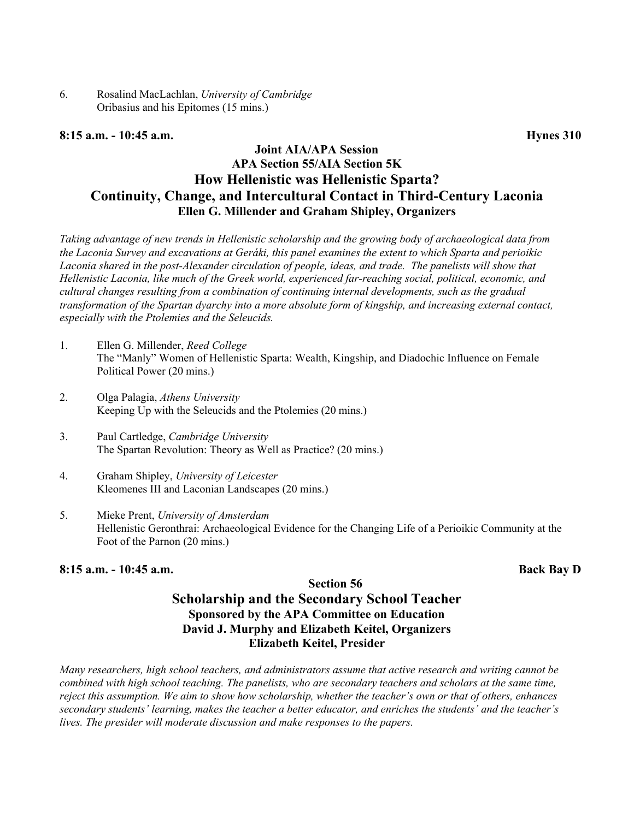6. Rosalind MacLachlan, *University of Cambridge* Oribasius and his Epitomes (15 mins.)

#### **8:15 a.m. - 10:45 a.m. Hynes 310**

### **Joint AIA/APA Session APA Section 55/AIA Section 5K How Hellenistic was Hellenistic Sparta? Continuity, Change, and Intercultural Contact in Third-Century Laconia Ellen G. Millender and Graham Shipley, Organizers**

*Taking advantage of new trends in Hellenistic scholarship and the growing body of archaeological data from the Laconia Survey and excavations at Geráki, this panel examines the extent to which Sparta and perioikic Laconia shared in the post-Alexander circulation of people, ideas, and trade. The panelists will show that Hellenistic Laconia, like much of the Greek world, experienced far-reaching social, political, economic, and cultural changes resulting from a combination of continuing internal developments, such as the gradual transformation of the Spartan dyarchy into a more absolute form of kingship, and increasing external contact, especially with the Ptolemies and the Seleucids.*

- 1. Ellen G. Millender, *Reed College* The "Manly" Women of Hellenistic Sparta: Wealth, Kingship, and Diadochic Influence on Female Political Power (20 mins.)
- 2. Olga Palagia, *Athens University* Keeping Up with the Seleucids and the Ptolemies (20 mins.)
- 3. Paul Cartledge, *Cambridge University* The Spartan Revolution: Theory as Well as Practice? (20 mins.)
- 4. Graham Shipley, *University of Leicester* Kleomenes III and Laconian Landscapes (20 mins.)
- 5. Mieke Prent, *University of Amsterdam* Hellenistic Geronthrai: Archaeological Evidence for the Changing Life of a Perioikic Community at the Foot of the Parnon (20 mins.)

#### **8:15 a.m. - 10:45 a.m. Back Bay D**

#### **Section 56 Scholarship and the Secondary School Teacher Sponsored by the APA Committee on Education David J. Murphy and Elizabeth Keitel, Organizers Elizabeth Keitel, Presider**

*Many researchers, high school teachers, and administrators assume that active research and writing cannot be combined with high school teaching. The panelists, who are secondary teachers and scholars at the same time, reject this assumption. We aim to show how scholarship, whether the teacher's own or that of others, enhances secondary students' learning, makes the teacher a better educator, and enriches the students' and the teacher's lives. The presider will moderate discussion and make responses to the papers.*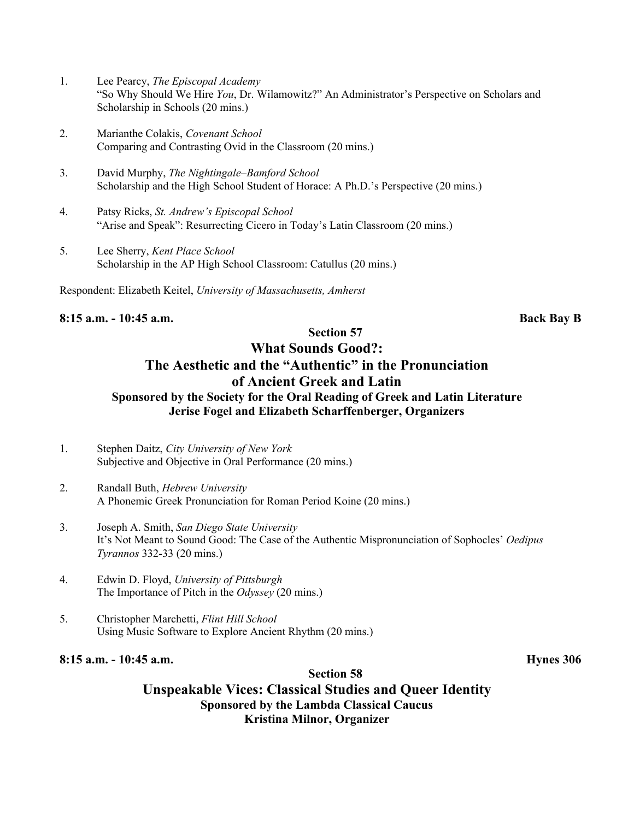- 1. Lee Pearcy, *The Episcopal Academy* "So Why Should We Hire *You*, Dr. Wilamowitz?" An Administrator's Perspective on Scholars and Scholarship in Schools (20 mins.)
- 2. Marianthe Colakis, *Covenant School* Comparing and Contrasting Ovid in the Classroom (20 mins.)
- 3. David Murphy, *The Nightingale–Bamford School* Scholarship and the High School Student of Horace: A Ph.D.'s Perspective (20 mins.)
- 4. Patsy Ricks, *St. Andrew's Episcopal School* "Arise and Speak": Resurrecting Cicero in Today's Latin Classroom (20 mins.)
- 5. Lee Sherry, *Kent Place School* Scholarship in the AP High School Classroom: Catullus (20 mins.)

Respondent: Elizabeth Keitel, *University of Massachusetts, Amherst*

#### **8:15 a.m. - 10:45 a.m. Back Bay B**

### **Section 57 What Sounds Good?: The Aesthetic and the "Authentic" in the Pronunciation of Ancient Greek and Latin Sponsored by the Society for the Oral Reading of Greek and Latin Literature Jerise Fogel and Elizabeth Scharffenberger, Organizers**

- 1. Stephen Daitz, *City University of New York* Subjective and Objective in Oral Performance (20 mins.)
- 2. Randall Buth, *Hebrew University* A Phonemic Greek Pronunciation for Roman Period Koine (20 mins.)
- 3. Joseph A. Smith, *San Diego State University* It's Not Meant to Sound Good: The Case of the Authentic Mispronunciation of Sophocles' *Oedipus Tyrannos* 332-33 (20 mins.)
- 4. Edwin D. Floyd, *University of Pittsburgh* The Importance of Pitch in the *Odyssey* (20 mins.)
- 5. Christopher Marchetti, *Flint Hill School* Using Music Software to Explore Ancient Rhythm (20 mins.)

#### **8:15 a.m. - 10:45 a.m. Hynes 306**

### **Unspeakable Vices: Classical Studies and Queer Identity Sponsored by the Lambda Classical Caucus Kristina Milnor, Organizer**

**Section 58**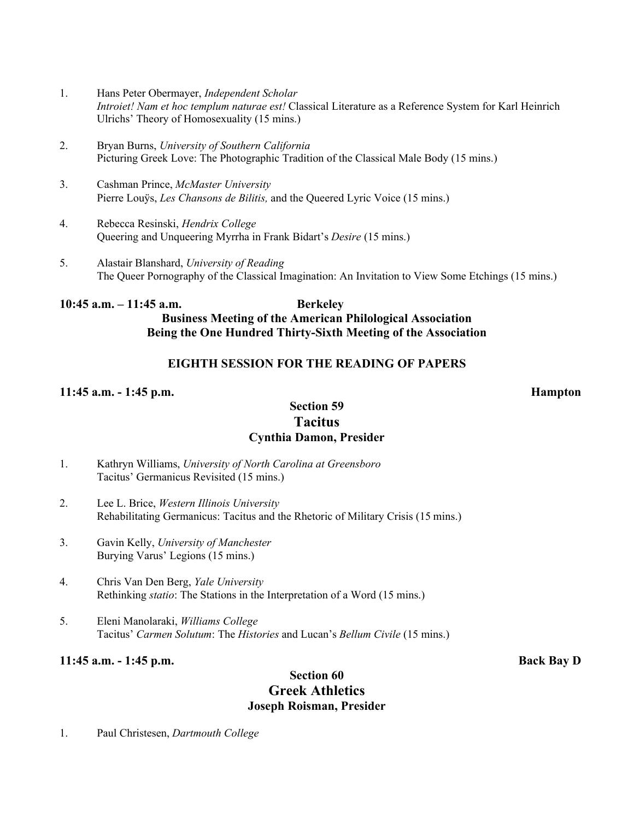- 1. Hans Peter Obermayer, *Independent Scholar Introiet! Nam et hoc templum naturae est!* Classical Literature as a Reference System for Karl Heinrich Ulrichs' Theory of Homosexuality (15 mins.)
- 2. Bryan Burns, *University of Southern California* Picturing Greek Love: The Photographic Tradition of the Classical Male Body (15 mins.)
- 3. Cashman Prince, *McMaster University* Pierre Louÿs, *Les Chansons de Bilitis,* and the Queered Lyric Voice (15 mins.)
- 4. Rebecca Resinski, *Hendrix College* Queering and Unqueering Myrrha in Frank Bidart's *Desire* (15 mins.)
- 5. Alastair Blanshard, *University of Reading* The Queer Pornography of the Classical Imagination: An Invitation to View Some Etchings (15 mins.)

#### **10:45 a.m. – 11:45 a.m. Berkeley Business Meeting of the American Philological Association Being the One Hundred Thirty-Sixth Meeting of the Association**

#### **EIGHTH SESSION FOR THE READING OF PAPERS**

#### **11:45 a.m. - 1:45 p.m. Hampton**

#### **Section 59 Tacitus Cynthia Damon, Presider**

- 1. Kathryn Williams, *University of North Carolina at Greensboro* Tacitus' Germanicus Revisited (15 mins.)
- 2. Lee L. Brice, *Western Illinois University* Rehabilitating Germanicus: Tacitus and the Rhetoric of Military Crisis (15 mins.)
- 3. Gavin Kelly, *University of Manchester* Burying Varus' Legions (15 mins.)
- 4. Chris Van Den Berg, *Yale University* Rethinking *statio*: The Stations in the Interpretation of a Word (15 mins.)
- 5. Eleni Manolaraki, *Williams College* Tacitus' *Carmen Solutum*: The *Histories* and Lucan's *Bellum Civile* (15 mins.)

#### **11:45 a.m. - 1:45 p.m. Back Bay D**

### **Section 60 Greek Athletics Joseph Roisman, Presider**

1. Paul Christesen, *Dartmouth College*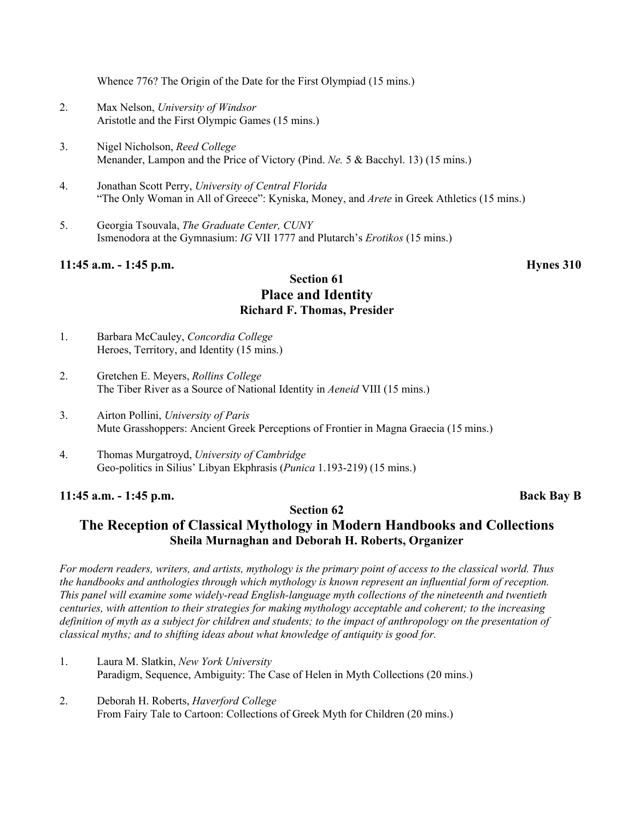Whence 776? The Origin of the Date for the First Olympiad (15 mins.)

- 2. Max Nelson, *University of Windsor* Aristotle and the First Olympic Games (15 mins.)
- 3. Nigel Nicholson, *Reed College* Menander, Lampon and the Price of Victory (Pind. *Ne.* 5 & Bacchyl. 13) (15 mins.)
- 4. Jonathan Scott Perry, *University of Central Florida* "The Only Woman in All of Greece": Kyniska, Money, and *Arete* in Greek Athletics (15 mins.)
- 5. Georgia Tsouvala, *The Graduate Center, CUNY* Ismenodora at the Gymnasium: *IG* VII 1777 and Plutarch's *Erotikos* (15 mins.)

#### **11:45 a.m. - 1:45 p.m. Hynes 310**

#### **Section 61 Place and Identity Richard F. Thomas, Presider**

- 1. Barbara McCauley, *Concordia College* Heroes, Territory, and Identity (15 mins.)
- 2. Gretchen E. Meyers, *Rollins College* The Tiber River as a Source of National Identity in *Aeneid* VIII (15 mins.)
- 3. Airton Pollini, *University of Paris* Mute Grasshoppers: Ancient Greek Perceptions of Frontier in Magna Graecia (15 mins.)
- 4. Thomas Murgatroyd, *University of Cambridge* Geo-politics in Silius' Libyan Ekphrasis (*Punica* 1.193-219) (15 mins.)

#### **11:45 a.m. - 1:45 p.m. Back Bay B**

#### **Section 62**

### **The Reception of Classical Mythology in Modern Handbooks and Collections Sheila Murnaghan and Deborah H. Roberts, Organizer**

*For modern readers, writers, and artists, mythology is the primary point of access to the classical world. Thus the handbooks and anthologies through which mythology is known represent an influential form of reception. This panel will examine some widely-read English-language myth collections of the nineteenth and twentieth centuries, with attention to their strategies for making mythology acceptable and coherent; to the increasing definition of myth as a subject for children and students; to the impact of anthropology on the presentation of classical myths; and to shifting ideas about what knowledge of antiquity is good for.*

- 1. Laura M. Slatkin, *New York University* Paradigm, Sequence, Ambiguity: The Case of Helen in Myth Collections (20 mins.)
- 2. Deborah H. Roberts, *Haverford College* From Fairy Tale to Cartoon: Collections of Greek Myth for Children (20 mins.)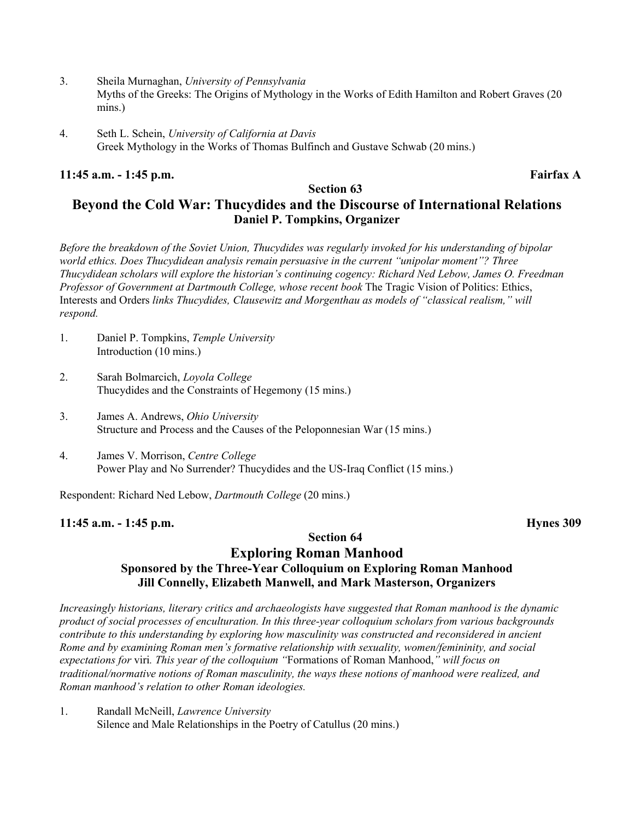- 3. Sheila Murnaghan, *University of Pennsylvania* Myths of the Greeks: The Origins of Mythology in the Works of Edith Hamilton and Robert Graves (20 mins.)
- 4. Seth L. Schein, *University of California at Davis* Greek Mythology in the Works of Thomas Bulfinch and Gustave Schwab (20 mins.)

#### **11:45 a.m. - 1:45 p.m. Fairfax A**

#### **Section 63 Beyond the Cold War: Thucydides and the Discourse of International Relations Daniel P. Tompkins, Organizer**

*Before the breakdown of the Soviet Union, Thucydides was regularly invoked for his understanding of bipolar world ethics. Does Thucydidean analysis remain persuasive in the current "unipolar moment"? Three Thucydidean scholars will explore the historian's continuing cogency: Richard Ned Lebow, James O. Freedman Professor of Government at Dartmouth College, whose recent book The Tragic Vision of Politics: Ethics,* Interests and Orders *links Thucydides, Clausewitz and Morgenthau as models of "classical realism," will respond.*

- 1. Daniel P. Tompkins, *Temple University* Introduction (10 mins.)
- 2. Sarah Bolmarcich, *Loyola College* Thucydides and the Constraints of Hegemony (15 mins.)
- 3. James A. Andrews, *Ohio University* Structure and Process and the Causes of the Peloponnesian War (15 mins.)
- 4. James V. Morrison, *Centre College* Power Play and No Surrender? Thucydides and the US-Iraq Conflict (15 mins.)

Respondent: Richard Ned Lebow, *Dartmouth College* (20 mins.)

#### **11:45 a.m. - 1:45 p.m. Hynes 309**

#### **Section 64**

#### **Exploring Roman Manhood Sponsored by the Three-Year Colloquium on Exploring Roman Manhood Jill Connelly, Elizabeth Manwell, and Mark Masterson, Organizers**

*Increasingly historians, literary critics and archaeologists have suggested that Roman manhood is the dynamic product of social processes of enculturation. In this three-year colloquium scholars from various backgrounds contribute to this understanding by exploring how masculinity was constructed and reconsidered in ancient Rome and by examining Roman men's formative relationship with sexuality, women/femininity, and social expectations for* viri*. This year of the colloquium "*Formations of Roman Manhood,*" will focus on traditional/normative notions of Roman masculinity, the ways these notions of manhood were realized, and Roman manhood's relation to other Roman ideologies.*

1. Randall McNeill, *Lawrence University* Silence and Male Relationships in the Poetry of Catullus (20 mins.)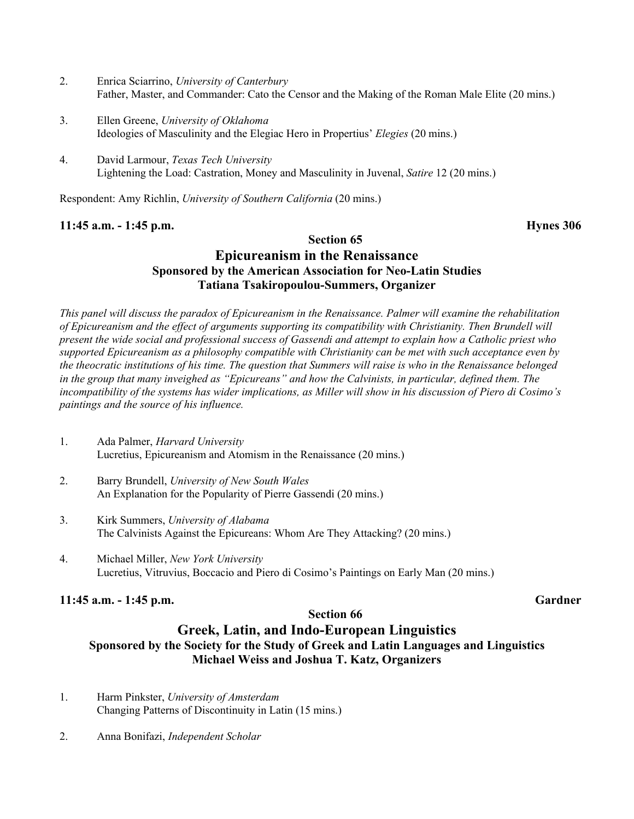- 2. Enrica Sciarrino, *University of Canterbury* Father, Master, and Commander: Cato the Censor and the Making of the Roman Male Elite (20 mins.)
- 3. Ellen Greene, *University of Oklahoma* Ideologies of Masculinity and the Elegiac Hero in Propertius' *Elegies* (20 mins.)
- 4. David Larmour, *Texas Tech University* Lightening the Load: Castration, Money and Masculinity in Juvenal, *Satire* 12 (20 mins.)

Respondent: Amy Richlin, *University of Southern California* (20 mins.)

#### **11:45 a.m. - 1:45 p.m. Hynes 306**

#### **Section 65**

## **Epicureanism in the Renaissance Sponsored by the American Association for Neo-Latin Studies Tatiana Tsakiropoulou-Summers, Organizer**

*This panel will discuss the paradox of Epicureanism in the Renaissance. Palmer will examine the rehabilitation of Epicureanism and the effect of arguments supporting its compatibility with Christianity. Then Brundell will present the wide social and professional success of Gassendi and attempt to explain how a Catholic priest who supported Epicureanism as a philosophy compatible with Christianity can be met with such acceptance even by the theocratic institutions of his time. The question that Summers will raise is who in the Renaissance belonged in the group that many inveighed as "Epicureans" and how the Calvinists, in particular, defined them. The incompatibility of the systems has wider implications, as Miller will show in his discussion of Piero di Cosimo's paintings and the source of his influence.*

- 1. Ada Palmer, *Harvard University* Lucretius, Epicureanism and Atomism in the Renaissance (20 mins.)
- 2. Barry Brundell, *University of New South Wales* An Explanation for the Popularity of Pierre Gassendi (20 mins.)
- 3. Kirk Summers, *University of Alabama* The Calvinists Against the Epicureans: Whom Are They Attacking? (20 mins.)
- 4. Michael Miller, *New York University* Lucretius, Vitruvius, Boccacio and Piero di Cosimo's Paintings on Early Man (20 mins.)

#### **11:45 a.m. - 1:45 p.m. Gardner**

#### **Section 66**

#### **Greek, Latin, and Indo-European Linguistics Sponsored by the Society for the Study of Greek and Latin Languages and Linguistics Michael Weiss and Joshua T. Katz, Organizers**

- 1. Harm Pinkster, *University of Amsterdam* Changing Patterns of Discontinuity in Latin (15 mins.)
- 2. Anna Bonifazi, *Independent Scholar*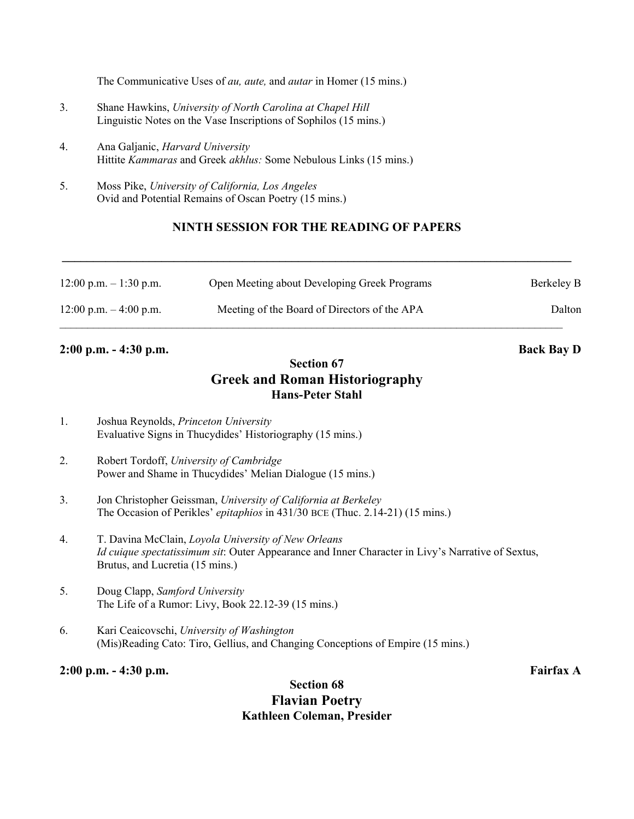The Communicative Uses of *au, aute,* and *autar* in Homer (15 mins.)

- 3. Shane Hawkins, *University of North Carolina at Chapel Hill* Linguistic Notes on the Vase Inscriptions of Sophilos (15 mins.)
- 4. Ana Galjanic, *Harvard University* Hittite *Kammaras* and Greek *akhlus:* Some Nebulous Links (15 mins.)
- 5. Moss Pike, *University of California, Los Angeles* Ovid and Potential Remains of Oscan Poetry (15 mins.)

#### **NINTH SESSION FOR THE READING OF PAPERS**

**\_\_\_\_\_\_\_\_\_\_\_\_\_\_\_\_\_\_\_\_\_\_\_\_\_\_\_\_\_\_\_\_\_\_\_\_\_\_\_\_\_\_\_\_\_\_\_\_\_\_\_\_\_\_\_\_\_\_\_\_\_\_\_\_\_\_\_\_\_\_\_\_\_\_\_\_\_\_\_\_\_\_**

| $12:00$ p.m. $-1:30$ p.m. | Open Meeting about Developing Greek Programs | Berkeley B |
|---------------------------|----------------------------------------------|------------|
| $12:00$ p.m. $-4:00$ p.m. | Meeting of the Board of Directors of the APA | Dalton     |

#### **2:00 p.m. - 4:30 p.m. Back Bay D**

### **Section 67 Greek and Roman Historiography Hans-Peter Stahl**

- 1. Joshua Reynolds, *Princeton University* Evaluative Signs in Thucydides' Historiography (15 mins.)
- 2. Robert Tordoff, *University of Cambridge* Power and Shame in Thucydides' Melian Dialogue (15 mins.)
- 3. Jon Christopher Geissman, *University of California at Berkeley* The Occasion of Perikles' *epitaphios* in 431/30 BCE (Thuc. 2.14-21) (15 mins.)
- 4. T. Davina McClain, *Loyola University of New Orleans Id cuique spectatissimum sit*: Outer Appearance and Inner Character in Livy's Narrative of Sextus, Brutus, and Lucretia (15 mins.)
- 5. Doug Clapp, *Samford University* The Life of a Rumor: Livy, Book 22.12-39 (15 mins.)
- 6. Kari Ceaicovschi, *University of Washington* (Mis)Reading Cato: Tiro, Gellius, and Changing Conceptions of Empire (15 mins.)

#### **2:00 p.m. - 4:30 p.m. Fairfax A**

#### **Section 68 Flavian Poetry Kathleen Coleman, Presider**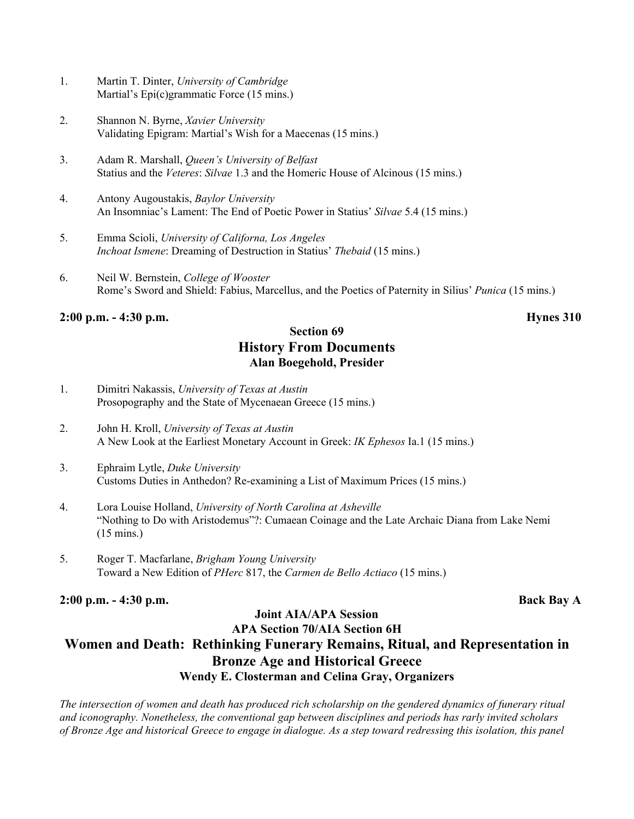- 1. Martin T. Dinter, *University of Cambridge* Martial's Epi(c)grammatic Force (15 mins.)
- 2. Shannon N. Byrne, *Xavier University* Validating Epigram: Martial's Wish for a Maecenas (15 mins.)
- 3. Adam R. Marshall, *Queen's University of Belfast* Statius and the *Veteres*: *Silvae* 1.3 and the Homeric House of Alcinous (15 mins.)
- 4. Antony Augoustakis, *Baylor University* An Insomniac's Lament: The End of Poetic Power in Statius' *Silvae* 5.4 (15 mins.)
- 5. Emma Scioli, *University of Californa, Los Angeles Inchoat Ismene*: Dreaming of Destruction in Statius' *Thebaid* (15 mins.)
- 6. Neil W. Bernstein, *College of Wooster* Rome's Sword and Shield: Fabius, Marcellus, and the Poetics of Paternity in Silius' *Punica* (15 mins.)

#### **2:00 p.m. - 4:30 p.m. Hynes 310**

### **Section 69 History From Documents Alan Boegehold, Presider**

- 1. Dimitri Nakassis, *University of Texas at Austin* Prosopography and the State of Mycenaean Greece (15 mins.)
- 2. John H. Kroll, *University of Texas at Austin* A New Look at the Earliest Monetary Account in Greek: *IK Ephesos* Ia.1 (15 mins.)
- 3. Ephraim Lytle, *Duke University* Customs Duties in Anthedon? Re-examining a List of Maximum Prices (15 mins.)
- 4. Lora Louise Holland, *University of North Carolina at Asheville* "Nothing to Do with Aristodemus"?: Cumaean Coinage and the Late Archaic Diana from Lake Nemi (15 mins.)
- 5. Roger T. Macfarlane, *Brigham Young University* Toward a New Edition of *PHerc* 817, the *Carmen de Bello Actiaco* (15 mins.)

**2:00 p.m. - 4:30 p.m. Back Bay A**

### **Joint AIA/APA Session APA Section 70/AIA Section 6H Women and Death: Rethinking Funerary Remains, Ritual, and Representation in Bronze Age and Historical Greece Wendy E. Closterman and Celina Gray, Organizers**

*The intersection of women and death has produced rich scholarship on the gendered dynamics of funerary ritual and iconography. Nonetheless, the conventional gap between disciplines and periods has rarly invited scholars of Bronze Age and historical Greece to engage in dialogue. As a step toward redressing this isolation, this panel*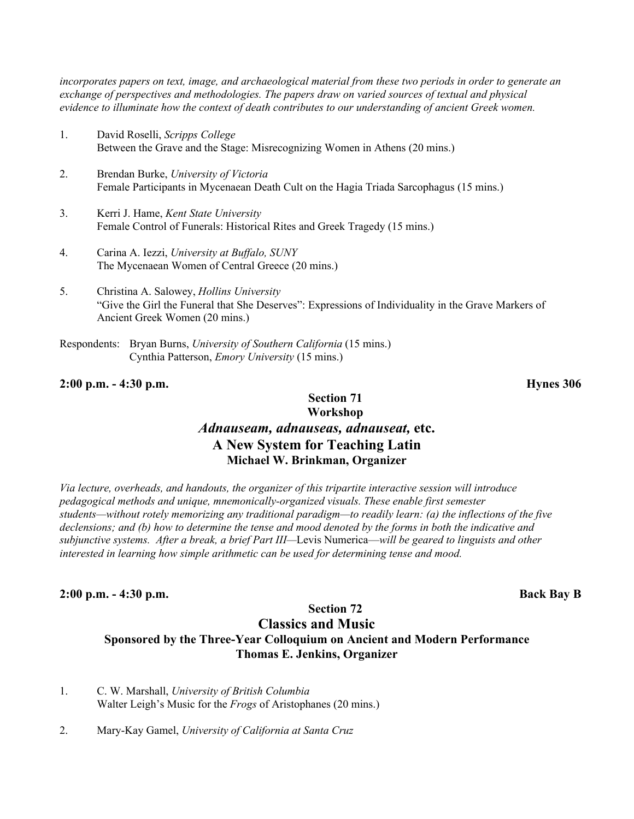*incorporates papers on text, image, and archaeological material from these two periods in order to generate an exchange of perspectives and methodologies. The papers draw on varied sources of textual and physical evidence to illuminate how the context of death contributes to our understanding of ancient Greek women.*

- 1. David Roselli, *Scripps College* Between the Grave and the Stage: Misrecognizing Women in Athens (20 mins.)
- 2. Brendan Burke, *University of Victoria* Female Participants in Mycenaean Death Cult on the Hagia Triada Sarcophagus (15 mins.)
- 3. Kerri J. Hame, *Kent State University* Female Control of Funerals: Historical Rites and Greek Tragedy (15 mins.)
- 4. Carina A. Iezzi, *University at Buffalo, SUNY* The Mycenaean Women of Central Greece (20 mins.)
- 5. Christina A. Salowey, *Hollins University* "Give the Girl the Funeral that She Deserves": Expressions of Individuality in the Grave Markers of Ancient Greek Women (20 mins.)
- Respondents: Bryan Burns, *University of Southern California* (15 mins.) Cynthia Patterson, *Emory University* (15 mins.)

#### **2:00 p.m. - 4:30 p.m. Hynes 306**

#### **Section 71 Workshop** *Adnauseam, adnauseas, adnauseat,* **etc. A New System for Teaching Latin Michael W. Brinkman, Organizer**

*Via lecture, overheads, and handouts, the organizer of this tripartite interactive session will introduce pedagogical methods and unique, mnemonically-organized visuals. These enable first semester students—without rotely memorizing any traditional paradigm—to readily learn: (a) the inflections of the five declensions; and (b) how to determine the tense and mood denoted by the forms in both the indicative and subjunctive systems. After a break, a brief Part III—*Levis Numerica—*will be geared to linguists and other interested in learning how simple arithmetic can be used for determining tense and mood.*

#### **2:00 p.m. - 4:30 p.m. Back Bay B**

## **Classics and Music**

**Section 72**

### **Sponsored by the Three-Year Colloquium on Ancient and Modern Performance Thomas E. Jenkins, Organizer**

- 1. C. W. Marshall, *University of British Columbia* Walter Leigh's Music for the *Frogs* of Aristophanes (20 mins.)
- 2. Mary-Kay Gamel, *University of California at Santa Cruz*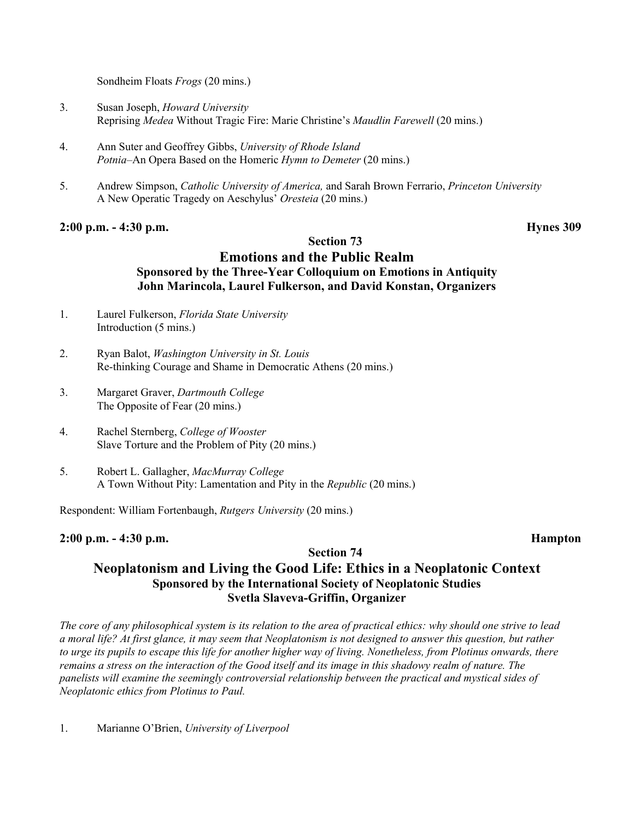Sondheim Floats *Frogs* (20 mins.)

- 3. Susan Joseph, *Howard University* Reprising *Medea* Without Tragic Fire: Marie Christine's *Maudlin Farewell* (20 mins.)
- 4. Ann Suter and Geoffrey Gibbs, *University of Rhode Island Potnia*–An Opera Based on the Homeric *Hymn to Demeter* (20 mins.)
- 5. Andrew Simpson, *Catholic University of America,* and Sarah Brown Ferrario, *Princeton University* A New Operatic Tragedy on Aeschylus' *Oresteia* (20 mins.)

#### **2:00 p.m. - 4:30 p.m. Hynes 309**

#### **Section 73**

### **Emotions and the Public Realm Sponsored by the Three-Year Colloquium on Emotions in Antiquity John Marincola, Laurel Fulkerson, and David Konstan, Organizers**

- 1. Laurel Fulkerson, *Florida State University* Introduction (5 mins.)
- 2. Ryan Balot, *Washington University in St. Louis* Re-thinking Courage and Shame in Democratic Athens (20 mins.)
- 3. Margaret Graver, *Dartmouth College* The Opposite of Fear (20 mins.)
- 4. Rachel Sternberg, *College of Wooster* Slave Torture and the Problem of Pity (20 mins.)
- 5. Robert L. Gallagher, *MacMurray College* A Town Without Pity: Lamentation and Pity in the *Republic* (20 mins.)

Respondent: William Fortenbaugh, *Rutgers University* (20 mins.)

#### **2:00 p.m. - 4:30 p.m. Hampton**

#### **Section 74 Neoplatonism and Living the Good Life: Ethics in a Neoplatonic Context Sponsored by the International Society of Neoplatonic Studies Svetla Slaveva-Griffin, Organizer**

*The core of any philosophical system is its relation to the area of practical ethics: why should one strive to lead a moral life? At first glance, it may seem that Neoplatonism is not designed to answer this question, but rather to urge its pupils to escape this life for another higher way of living. Nonetheless, from Plotinus onwards, there remains a stress on the interaction of the Good itself and its image in this shadowy realm of nature. The panelists will examine the seemingly controversial relationship between the practical and mystical sides of Neoplatonic ethics from Plotinus to Paul.*

1. Marianne O'Brien, *University of Liverpool*